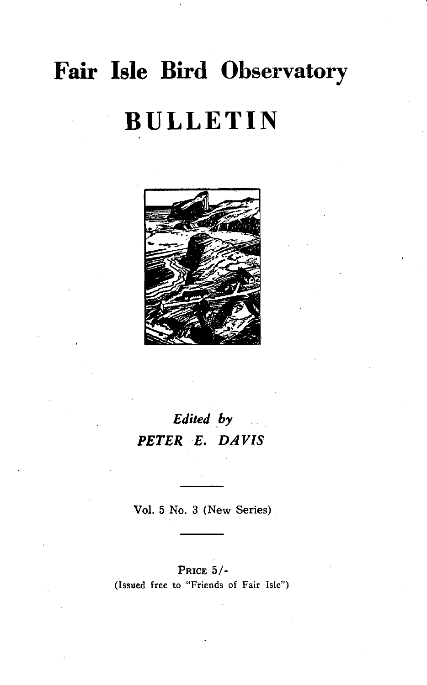# **Fair Isle Bird Observatory BULLETIN**



# *Edited by PETER E. DAVIS*

Vol. 5 No. 3 (New Series)

#### PRICE 5/- (Issued free to "Friends of Fair Isle")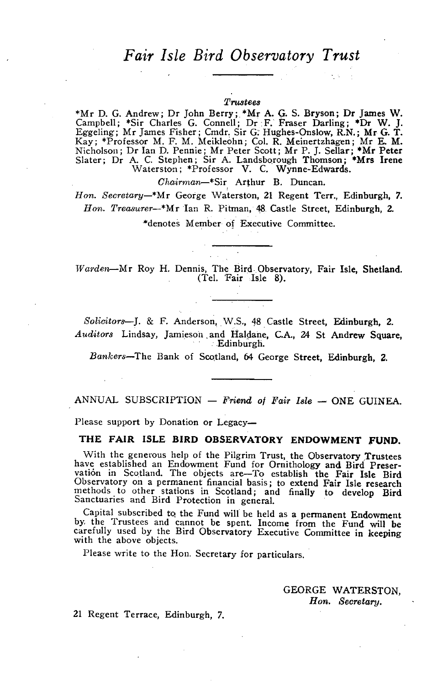### *Fair Isle Bird Observatory Trust*

#### *Trustees*

\*Mr D. G. Andrew; Dr John Berry; \*Mr A. G. S. Bryson; Dr James W. Campbell; \*Sir Charles G. Connell; Dr F. Fraser Darling; \*Dr W. J. Eggeling; Mr James Fisher; Cmdr. Sir G: Hughes-Onslow, R.N.; Mr G. T. Kay; \*Professor M. F. M. Meikleohn; Col. R. Meinertzhagen; Mr E. M. Nicholson; Dr Ian D. Pennie; Mr Peter Scott; Mr P. J. Sellar; \*Mr Peter Slater; Dr A. C. Stephen; Sir A. Landsborough Thomson; \*Mrs Irene Waterston; \*Professor V. C. Wynne-Edwards.

*Chairman-\*Sir* Arthur B. Duncan.

Hon. Secretary-\*Mr George Waterston, 21 Regent Terr., Edinburgh, 7. *Hon. Treasurer-\*Mr* Ian R. Pitman, 48. Castle Street, Edinburgh, 2. \*denotes Member of Executive Committee.

*Wm'den--Mr* Roy H. Dennis, The Bird. Observatory, Fair Isle, Shetland. (Tel. 'Fair Isle 8).

*Solicitors-J.* & F. Anderson, W.S., 48 Castle Street, Edinburgh, 2. *Auditors* Lindsay, Jamieson. and Hal~ane, c.A., 24 St Andrew Square, . Edinburgh.

*Bankers-The* Bank of Scotland, 64 George Street, Edinburgh, 2.

ANNUAL SUBSCRIPTION - *Friend of Fair Isle* - ONE GUINEA.

Please support by Donation or Legacy-

#### THE FAIR ISLE BIRD OBSERVATORY ENDOWMENT fUND.

With the generous help of the Pilgrim Trust, the Observatory Trustees have established an Endowment Fund for Ornithology and Bird Preser-vation in Scotland. The objects are-To establish the Fair Isle Bird Observatory on a permanent financial basis; to extend Fair Isle research methods to other stations in Scotland; and finally to develop Bird Sanctuaries and Bird Protection in general.

Capital subscribed to the Fund will be held as a permanent Endowment by, the Trustees and cannot be spent. Income from the Fund will be carefully used by the Bird Observatory Executive Committee in keeping with the above objects.

Please write to the Hon. Secretary for particulars.

GEORGE WATERSTON, *Hon. Secretary.* 

21 Regent Terrace, Edinburgh, 7.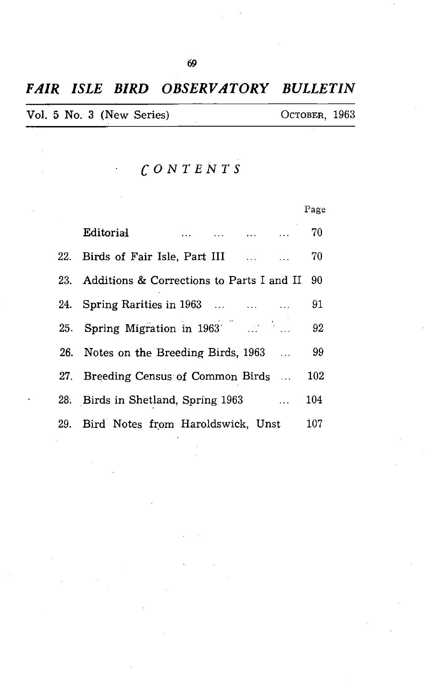### *FAIR ISLE BIRD OBSERVATORY BULLETIN*

|  | Vol. 5 No. 3 (New Series) | Остовек, 1963 |  |
|--|---------------------------|---------------|--|
|  |                           |               |  |

*CONTENTS* 

 $\ddot{\phantom{0}}$ 

|                                                                                                                                  | Page |
|----------------------------------------------------------------------------------------------------------------------------------|------|
| Editorial<br>and the contract of the contract of the contract of the contract of the contract of the contract of the contract of | 70   |
| 22. Birds of Fair Isle, Part III                                                                                                 | 70   |
| 23. Additions & Corrections to Parts I and II                                                                                    | 90   |
| 24. Spring Rarities in 1963                                                                                                      | 91   |
| 25. Spring Migration in $1963$ <sup>2</sup> and $\ldots$ and $\ldots$                                                            | 92   |
| 26. Notes on the Breeding Birds, 1963.                                                                                           | 99   |
| 27. Breeding Census of Common Birds                                                                                              | 102  |
| 28. Birds in Shetland, Spring 1963<br>$\sim$ 100 $\sim$                                                                          | 104  |
| 29. Bird Notes from Haroldswick, Unst                                                                                            | 107  |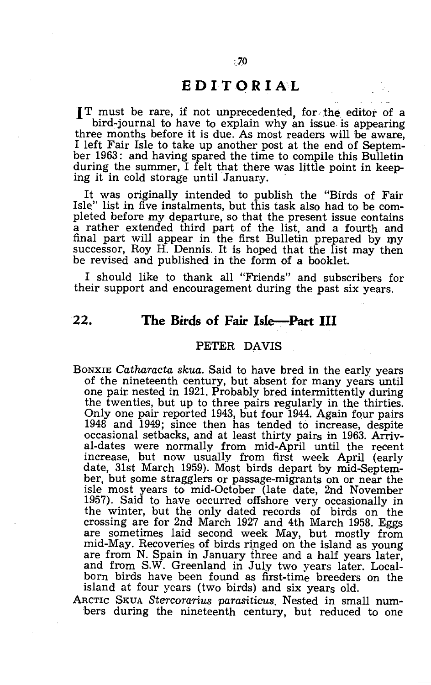#### **EDITORIA'L**

**IT** must be rare, if not unprecedented, for. the editor of a bird-journal to have to explain why an issue is appearing three months before it is due. As most readers will be aware, I left Fair Isle to take up another post at the end of September 1963: and having spared the time to compile this Bulletin during the summer, I felt that there was little point in keeping it in cold storage until January.

It was originally intended to publish the "Birds of Fair Isle" list in five instalments, but this task also had to be completed before my departure, so that the present issue contains a rather extended third part of the list, and a fourth and final part will appear in the first Bulletin prepared by my successor, Roy H. Dennis. It is hoped that the list may then be revised and published in the form of a booklet.

I should like to thank all "Friends" and subscribers for their support and encouragement during the past six years.

#### **22.** The Birds of Fair Isle-Part III

#### PETER DAVIS

- BONXIE *Catharacta skua.* Said to have bred in the early years of the nineteenth century, but absent for many years until one pair. nested in 1921. Probably bred intermittently during the twenties, but up to three pairs regularly in the thirties. Only one pair reported 1943, but four 1944. Again four pairs 1948 and 1949; since then has tended to increase, despite occasional setbacks, and at least thirty pairs in 1963. Arrival-dates were normally from mid-April until the recent increase, but now usually from first week April (early date, 31st March 1959). Most birds depart by mid-September, but some stragglers or passage-migrants on or near the isle most years to mid-October (late date, 2nd November 1957). Said to have occurred offshore very occasionally in the winter, but the only dated records of birds on the crossing are for 2nd March 1927 and 4th March 1958. Eggs are sometimes laid secopd week May, but mostly from mid-May. Recoveries of birds ringed on the island as young are from N. Spain in January three and a half years later, and from S.W. Greenland in July two years later. Localborn birds have been found as first-time breeders on the island at four years (two birds) and six years old.
- ARCTIC SKUA *Stercorarius parasiticus.* Nested in small numbers during the nineteenth century, but reduced to one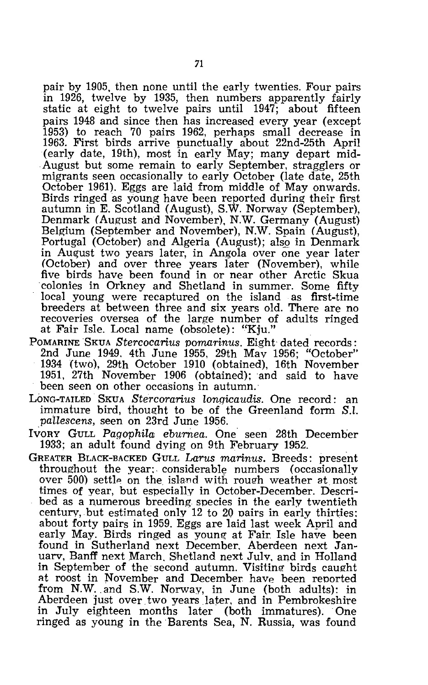pair by 1905, then none until the early twenties. Four pairs in 1926, twelve by 1935, then numbers apparently fairly static at eight to twelve pairs until 1947; about fifteen pairs 1948 and since then has increased every year (except 1953) to reach 70 pairs 1962, perhaps small decrease in 1963. First birds arrive punctually about 22nd-25th April (early date, 19th), most in early May; many depart mid- . August but some remain to early September, stragglers or migrants seen occasionally to early October (late date, 25th October 1961). Eggs are laid from middle of May onwards. Birds ringed as young have been reported during their first autumn in E. Scotland (August), S.W. Norway (September), Denmark (August and November), N.W. Germany (August) Belgium (September and Novem'ber), N.W. Spain (August), Portugal (October) and Algeria (August); also in Denmark in August two years later, in Angola over one year later (October) and over three years later (November), while five birds have been found in or near other Arctic Skua -colonies in Orkney and Shetland in summer. Some fifty local young were recaptured on the island as first-time breeders at between three and six years old. There are no recoveries oversea of the large number of adults ringed at Fair Isle. Local name (obsolete): "Kju.

- POMARINE SKUA Stercocarius pomarinus. Eight dated records: 2nd June 1949. 4th June 1955, 29th Mav 1956; "October" 1934 (two), 29th October 1910 (obtained), 16th November 1951, 27th November 1906 (obtained); and said to have been seen on other occasions in autumn.'
- LONG-TAILED SKUA *Stercorarius lonqicaudis.* One record: an immature bird, thought to be of the Greenland form S.l. *pailescens,* seen on 23rd June 1956.
- Ivory GuLL Pagophila eburnea. One seen 28th December 1933; an adult found dying on 9th February 1952.
- GREATER BLACK-BACKED GULL *Larus marinus.* Breeds: present throughout the year: considerable numbers (occasionally over 500) settle on the island with rough weather at most times of year, but especially in October-December. Described as a numerous breeding species in the early twentieth century, but estimated only 12 to 20 pairs in early thirties: about forty pairs in 1959. Eggs are laid last week April and early May. Birds ringed as young at Fair. Isle haye been found in Sutherland next December. Aberdeen next Januarv, Banff next March. Shetland next Julv, and in Holland in September of the second autumn. Visiting birds caught at roost in November and December have been reported from N.W .. and S.W. Norway, in June (both adults): in Aberdeen just over two years later, and in Pembrokeshire in July eighteen months later (both immatures). One ringed as young in the Barents Sea, N. Russia, was found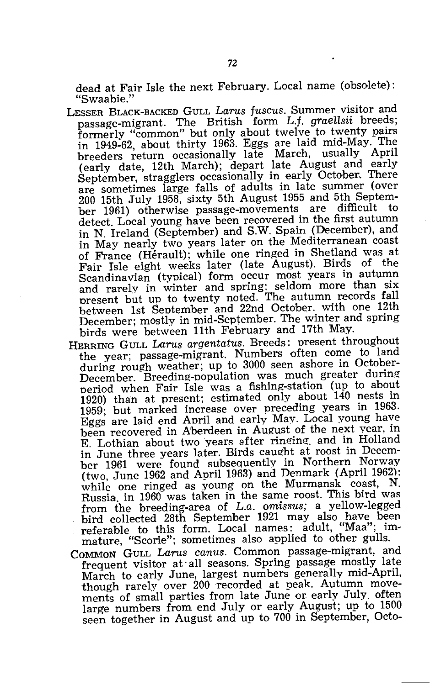dead at Fair Isle the next February. Local name (obsolete): "Swaabie."

- LESSER BLACK-BACKED GULL *Larus fuscus.* Summer visitor and passage-migrant. The British form L.f. *graeUsii* breeds; formerly "common" but only about twelve to twenty pairs n 1949-62, about thirty 1963. Eggs are laid mid-May. The breeders return occasionally late March, usually April (early date, 12th March); depart late August and early September, stragglers occasionally in early October.. There are sometimes large falls of adults in late summer (over 200 15th July 1958, sixty 5th August 1955 and 5th September 1961) otherwise passage-movements are difficult to detect. Local young have been recovered in the first autumn in N. Ireland (September) and S.W. Spain (December), and in May nearly two years later on the Mediterranean coast of France (Herault); while one ringed in Shetland was at Fair Isle eight weeks later (late August). Birds of the Scandinavian (typical) form occur most years in autumn and rarely in winter and spring: seldom more than six present but up to twenty noted. The autumn records fall between 1st September and 22nd October. with one 12th December; mostly in mid-September. The winter and spring birds were between 11th February and 17th May.
- HERRING GULL *LaTUS argentatus.* Breeds: present throughout the year; passage-migrant. Numbers often come to land during rough weather; up to 3000 seen ashore in October-December. Breeding-population was much greater during period when Fair Isle was a fishing-station (un to about 1920) than at present; estimated only about 140 nests in 1959; but marked increase over preceding years in 1963. Eggs are laid end April and early May. Local young have been recovered in Aberdeen in August of the next year, in E. Lothian about two years after ringing, and in Holland in June three years later. Birds caught at roost in December 1961 were found subsequently in Northern Norway (two, June 1962 and April 1963) and Denmark (April 1962): while one ringed as young on the Murmansk coast, N. Russia, in 1960 was taken in the same roost. This bird was from the breeding-area of L.a. *omissus;* a yellow-legged bird collected 28th September 1921 may also have been referable to this form. Local names: adult, "Maa"; immature, "Scorie"; sometimes also applied to other gulls.
- COMMON GULL *LaTUS canus.* Common passage-migrant, and frequent visitor at· all seasons. Spring passage mostly late March to early June, largest numbers generally mid-April, though rarely over 200 recorded at peak. Autumn movements of small parties from late June or early July often large numbers from end July or early August; up to 1500 seen together in August and up to 700 in September, Octo-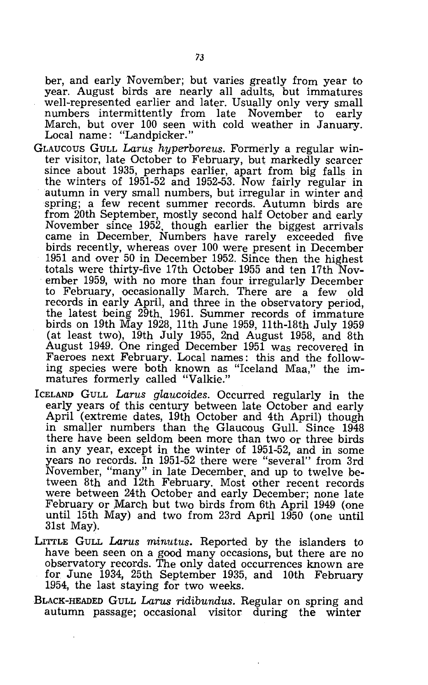ber, and early November; but varies greatly from year to year. August birds are nearly all adults, but immatures well-represented earlier and later. Usually only very small numbers intermittently from late November to early March, but over 100 seen with cold weather in January. Local name: "Landpicker."

- GLAUCOUS GULL *Larus hyperboreus.* Formerly a regular winter visitor, late October to February, but markedly scarcer since about 1935, perhaps earlier, apart from big falls in the winters of 1951-52 and 1952-53. Now fairly regular in autumn in very small numbers, but irregular in winter and spring; a few recent summer records. Autumn birds are from 20th September, mostly second half October and early November since 1952, though earlier the biggest arrivals came in December. Numbers have rarely exceeded five birds recently, whereas over 100 were present in December 1951 and over 50 in December 1952. Since then the highest totals were thirty-five 17th October 1955 and ten 17th November 1959, with no more than four irregularly December to February, occasionally March. There are a few old records in early April, and three in the observatory period, the latest being 29th, 1961. Summer records of immature birds on 19th May 1928, 11th June 1959, 11th-18th July 1959 (at least two), 19th July 1955, 2nd August 1958, and 8th August 1949. One ringed December 1951 was recovered in Faeroes next February. Local names: this and the following species were both known as "Iceland Maa," the immatures formerly called "Valkie."
- ICELAND GULL Larus glaucoides. Occurred regularly in the early years of this century between late October and early April (extreme dates, 19th October and 4th April) though in smaller numbers than the Glaucous Gull. Since 1948 there have been seldom been more than two or three birds in any year, except in the winter of 1951-52, and in some years no records. In 1951-52 there were "several" from 3rd November, "many" in late December, and up to twelve between 8th and 12th February. Most other recent records were between 24th October and early December; none late February or March but two birds from 6th April 1949 (one until 15th May) and two from 23rd April 1950 (one until 31st May).
- LITTLE GULL *Larus minutus.* Reported by the islanders to have been seen on a good many occasions, but there are no observatory records. The only dated occurrences known are for June 1934, 25th September 1935, and 10th February 1954, the last staying for two weeks.
- BLACK-HEADED GULL *LaTUS ridibundus.* Regular on spring and autumn passage; occasional visitor during the winter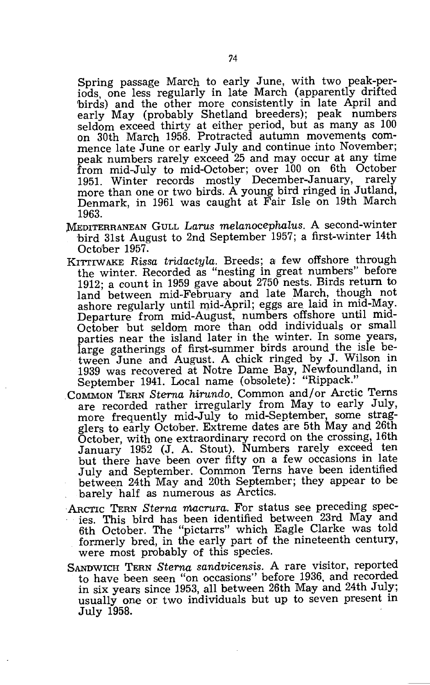Spring passage March to early June, with two peak-perods, one less regularly in late March (apparently drifted 'birds) and the other more consistently in late April and early May (probably Shetland breeders); peak numbers seldom exceed thirty at either period, but as many as 100 on 30th March 1958. Protracted autumn movements commence late June or early July and continue into November; peak numbers rarely exceed 25 and may occur at any time from mid-July to mid-October; over 100 on 6th October 1951. Winter records mostly December-January, more than one or two birds. A young bird ringed in Jutland, Denmark, in 1961 was caught at Fair Isle on 19th March 1963.

- l\'IEDITERRANEAN GULL *Larus melanocephalus.* A second-winter bird 31st August to 2nd September 1957; a first-winter 14th October 1957.
- KITTIWAKE *Rissa tridactyla*. Breeds; a few offshore through the winter. Recorded as "nesting in great numbers" before 1912; a count in 1959 gave about 2750 nests. Birds return to land between mid-February and late March, though not ashore regularly until mid-April; eggs are laid in mid-May. Departure from mid-August, numbers offshore until mid-October but seldom more than odd individuals or small parties near the island later in the winter. In some years, large gatherings of first-summer birds around the isle between June and August. A chick ringed by J. Wilson in 1939 was recovered at Notre Dame Bay, Newfoundland, in September 1941. Local name (obsolete): "Rippack."
- COMMON TERN *Sterna hirundo.* Common and/or Arctic Terns are recorded rather irregularly from May to early July, more frequently mid-July to mid-September, some stragglers to early October. Extreme dates are 5th May and 26th October, with one extraordinary record on the crossing, 16th January 1952 (J. A. Stout). Numbers rarely exceed ten but there have been over fifty on a few occasions in late July and September. Common Terns have been identified between 24th May and 20th September; they appear to be barely half as numerous as Arctics.
- ARCTIC TERN *Sterna macrura.* For status see preceding species. This bird has been identified between 23rd May and 6th October. The "pictarrs" which Eagle Clarke was told formerly bred, in the early part of the nineteenth century, were most probably of this species.
- SANDWICH TERN *Sterna sandvicensis.* A rare visitor, reported to have been seen "on occasions" before 1936, and recorded in six years since 1953, all between 26th May and 24th July; usually one or two individuals but up to seven present in July 1958.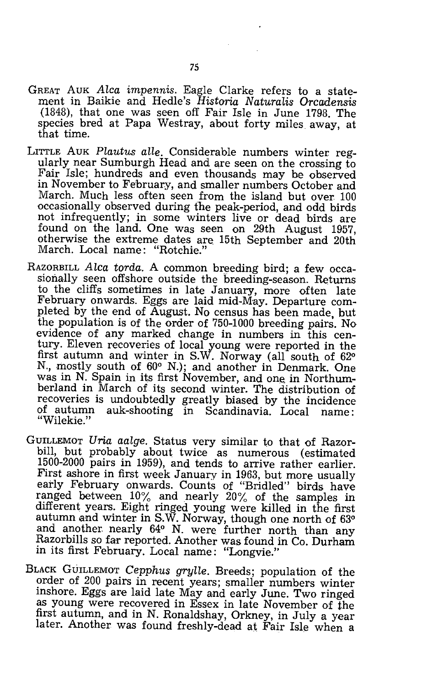- GREAT AUK *Alea impennis.* Eagle Clarke refers to a statement in Baikie and Hedle's Historia Naturalis Orcadensis (1848), that one was seen off Fair Isle in June 1798. The species bred at Papa Westray, about forty miles away, at that time.
- LITTLE AUK *Plautus alle.* Considerable numbers winter regularly near Sumburgh Head and are seen on the crossing to Fair Isle; hundreds and even thousands may be observed in November to February, and smaller numbers October and March. Much less often seen from the island but over 100 occasionally observed during the peak-period, and odd birds not infrequently; in some winters live or dead birds are found on the land. One was seen on 29th August 1957, otherwise the extreme dates are. 15th September and 20th March. Local name: "Rotchie."
- RAZORBILL *Alea torda.* A common breeding bird; a few occasionally seen offshore outside the breeding-season. Returns to the cliffs sometimes in late January, more often late February onwards. Eggs are laid mid-May. Departure completed by the end of August. No census has been made, but the population is of the order of 750-1000 breeding pairs. No evidence of any marked change in numbers in this century. Eleven recoveries of local young were reported in the first autumn and winter in S.W. Norway (all south of 62° N., mostly south of 60° N.); and another in Denmark. One was in N. Spain in its first November, and one in Northumberland in March of its second winter. The distribution of recoveries is undoubtedly greatly biased by the incidence of autumn auk-shooting in Scandinavia. Local name: "Wilekie."
- GUILLEMOT *Uria aalge.* Status very similar to that of Razorbill, but probably about twice as numerous (estimated 1500-2000 pairs in 1959), and tends to arrive rather earlier. First ashore in first week January in 1963, but more usually early February onwards. Counts of "Bridled" birds have ranged between  $10\%$  and nearly  $20\%$  of the samples in different years. Eight ringed young were killed in the first autumn and winter in S.W. Norway, though one north of 63° and another nearly 64° N. were further north than any Razorbills so far reported. Another was found in Co. Durham in its first February. Local name: "Longvie."
- BLACK GUILLEMOT *Cepphus gryUe.* Breeds; population of the order of 200 pairs in recent years; smaller numbers winter inshore. Eggs are laid late May and early June. Two ringed as young were recovered in Essex in late November of the first autumn, and in N. Ronaldshay, Orkney, in July a year later. Another was found freshly-dead at Fair Isle when a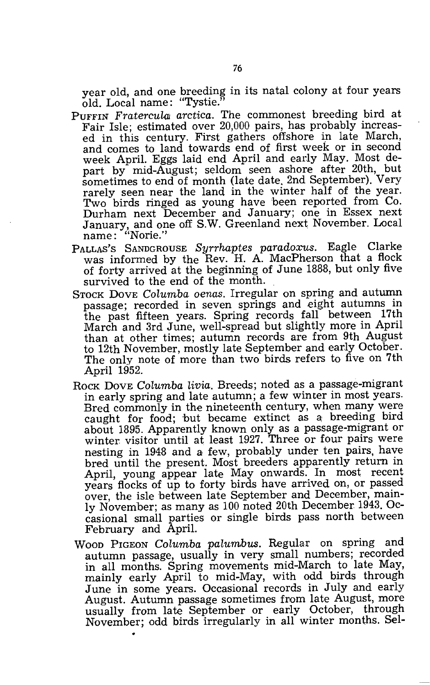year old, and one breeding in its natal colony at four years old. Local name: "Tystie."

- PUFFIN Fratercula arctica. The commonest breeding bird at Fair Isle; estimated over 20,000 pairs, has probably increased in this century. First gathers offshore in late March, and comes to land towards end of first week or in second week April. Eggs laid end April and early May. Most depart by mid-August; seldom seen ashore after 20th, but sometimes to end of month (late date. 2nd September). Very rarely seen near the land in the winter half of the year. Two birds ringed as young have been reported from Co. Durham next December and January; one in Essex next January, and one off S.W. Greenland next November. Local name: "Norie.',
- PALLAS'S SANDGROUSE *Syrrhaptes paradoxus.* Eagle Clarke was informed by the Rev. H. A. MacPherson that a flock of forty arrived at the beginning of June 1888, but only five survived to the end of the month.
- STOCK DOVE *Calumba oenas.* Irregular on spring and autumn passage; recorded in seven springs and eight autumns in the past fifteen years. Spring records fall between 17th March and 3rd June, well-spread but slightly more in April than at other times; autumn records are from 9th August to 12th November, mostly late September and early October. The only note of more than two birds refers to five on 7th April 1952.
- Rock Dove *Columba livia*. Breeds; noted as a passage-migrant in early spring and late autumn; a few winter in most years. Bred commonly in the nineteenth century, when many were caught for food; but became extinct as a' breeding bird about 1895. Apparently known only as a passage-migrant or winter visitor until at least 1927. Three or four pairs were nesting in 1948 and a few, probably under ten pairs, have bred until the present. Most breeders apparently return in April, young appear late May onwards. In most recent years flocks of up to forty birds have arrived on, or passed over, the isle between late September and December, mainly November; as many as 100 noted 20th December 1943. Occasional small parties or single birds pass north between February and April.
- WOOD PIGEON *Calumba palumbus.* Regular on spring and autumn passage, usually in very small numbers; recorded in all months. Spring movements mid-March to late May, mainly early April to mid-May, with odd birds through June in some years. Occasional records in July and early August. Autumn passage sometimes from late August, more usually from late September or early October, through November; odd birds irregularly in all winter months. Sel-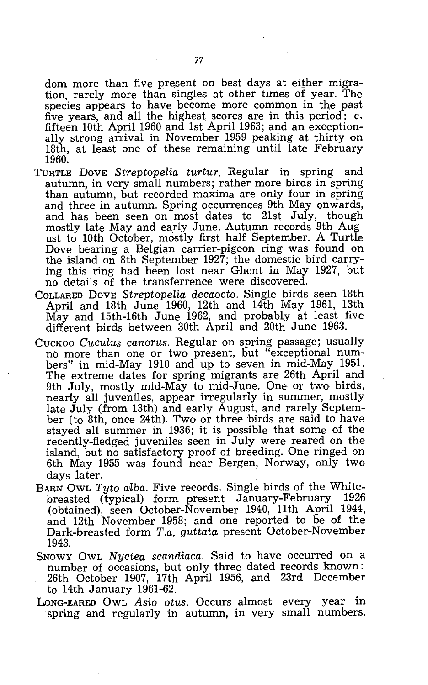dom more than five present on best days at either migration, rarely more than singles at other times of year. The species appears to have become more common in the past five years, and all the highest scores are in this period: c. fifteen 10th April 1960 and 1st April 1963; and an exceptionally strong arrival in November 1959 peaking at thirty on 18th, at least one of these remaining until late February 1960.

- TURTLE DOVE *Streptopelia turtur.* Regular in spring and autumn, in very small numbers; rather more birds in spring than autumn, but recorded maxima are only four in spring and three in autumn. Spring occurrences 9th May onwards, and has been seen on most dates to 21st July, though mostly late May and early June. Autumn records 9th August to 10th October, mostly first half September. A Turtle Dove bearing a Belgian carrier-pigeon ring was found on the island on 8th September 1927; the domestic bird carrying this ring had been lost near Ghent in May 1927, but no details of the transferrence were discovered.
- COLLARED DOVE *Streptopelia decaocto.* Single birds seen 18th April and 18th June 1960, 12th and 14th May 1961, 13th May and 15th-16th June 1962, and probably at least five different birds between 30th April and 20th June 1963.
- CUCKOO *CucuLus canorus.* Regular on spring passage; usually no more than one or two present, but "exceptional numbers" in mid-May 1910 and up to seven in mid-May 1951. The extreme dates for spring migrants are 26th April and 9th July, mostly mid-May to mid-June. One or two birds, nearly all juveniles, appear irregularly in summer, mostly late July (from 13th) and early August, and rarely September (to 8th, once 24th). Two or three birds are said to have stayed all summer in 1936; it is possible that some of the recently-fledged juveniles seen in July were reared on the island, but no satisfactory proof of breeding. One ringed on 6th May 1955 was found near Bergen, Norway, only two days later.
- BARN OWL *Tyto a'lba.* Five records. Single birds of the Whitebreasted (typical) form present January-February 1926 (obtained), seen October-November 1940, 11th April 1944, and 12th November 1958; and one reported to be of the Dark-breasted form *T.a. guttata* present October-November 1943.
- SNOWY OWL *Nyctea scandiaca*. Said to have occurred on a number of occasions, but only three dated records known: 26th October 1907, 17th April 1956, and 23rd December to 14th January 1961-62.
- LONG-EARED OWL *Asio otus.* Occurs almost every year in spring and regularly in autumn, in very small numbers.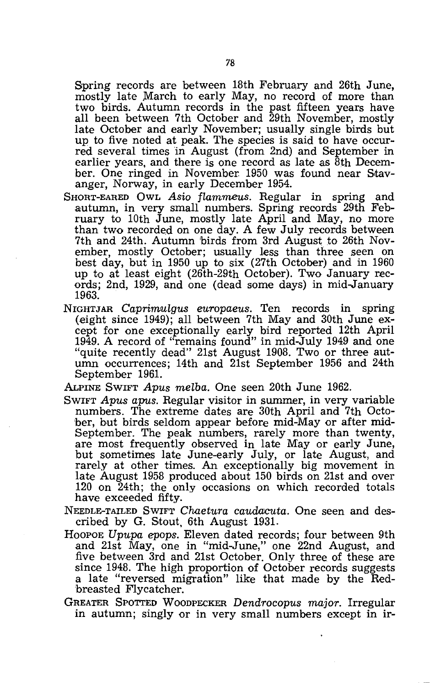Spring records are between 18th February and 26th June, mostly late March to early May, no record of more than two birds. Autumn records in the past fifteen years have all been between 7th October and 29th November, mostly late October and early November; usually single birds but up to five noted at peak. The species is said to have occurred several times 'in August (from 2nd) and September in earlier years, and there is one record as late as 8th December. One ringed in November 1950 was found near Stavanger, Norway, in early December 1954.

- SHORT-EARED OWL Asio flammeus. Regular in spring and autumn, in very small numbers. Spring records 29th February to 10th June, mostly late April and May, no more than two recorded on one day. A few July records between 7th and 24th. Autumn birds from 3rd August to 26th November, mostly October; usually less than three seen on best day, but in 1950 up to six (27th October) and in 1960 up to at least eight (26th-29th October). Two January records; 2nd, 1929, and one (dead some days) in mid-January 1963.
- NIGHTJAR Caprimulgus europaeus. Ten records in spring (eight since 1949); all between 7th May and 30th June except for one exceptionally early bird reported 12th April 1949. A record of "remains found" in mid-July 1949 and one "quite recently dead" 21st August 1908. Two or three autumn occurrences; 14th and 21st September 1956 and 24th September 1961.

ALPINE SWIFT Apus melba. One seen 20th June 1962.

- SWIFT Apus apus. Regular visitor in summer, in very variable numbers. The extreme dates are 30th April and 7th October, but birds seldom appear before mid-Mayor after mid-September. The peak numbers, rarely more than twenty, are most frequently observed in late Mayor early June, but sometimes late June-early July, or late August, and rarely at other times. An exceptionally big movement in late August 1958 produced about 150 birds on 21st and over 120 on 24th; the only occasions on which recorded totals have exceeded fifty.
- NEEDLE-TAILED SWIFT Chaetura caudacuta. One seen and described by G. Stout. 6th August 1931.
- HOOPOE Upupa epops. Eleven dated records; four between 9th and 21st May, one in "mid-June," one 22nd August, and five between 3rd and 21st October. Only three of these are since 1948. The high proportion of October records suggests a late "reversed migration" like that made by the Redbreasted Flycatcher.
- GREATER SPOTTED WOODPECKER Dendrocopus major. Irregular in autumn; singly or in very small numbers except in ir-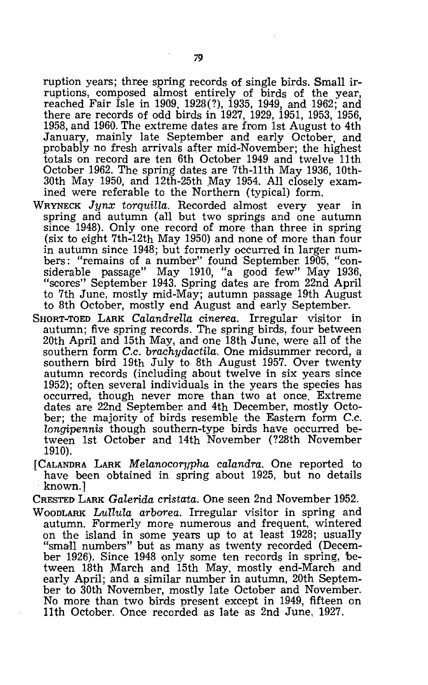ruption years; three spring records of single birds. Small irruptions, composed almost entirely of birds of the year, reached Fair Isle in 1909, 1928(?), 1935, 1949, and 1962; and there are records of odd birds in 1927, 1929, 1951, 1953, 1956, 1958, and 1960. The extreme dates are from 1st August to 4th January, mainly late September and early October, and probably no fresh arrivals after mid-November; the highest totals on record are ten 6th October 1949 and twelve 11th October 1962. The spring dates are 7th-11th May 1936, 10th- $30th$  May 1950, and  $12th-25th$  May 1954. All closely examined were referable to the Northern (typical) form.

- WRYNECK *Jynx torquilla.* Recorded aJmost every year in spring and autumn (all but two springs and one autumn since 1948). Only one record of more than three in spring (six to eight 7th-12th May 1950) and none of more than four in autumn since 1948; but formerly occurred in larger numbers: "remains of a number" found September. 1905, "considerable passage" May 1910, "a good few" May 1936, "scores" September 1943. Spring dates are from 22nd April to 7th June, mostly mid-May; autumn passage 19th August to 8th October, mostly end August and early September.
- SHORT-TOED LARK *Calandrella cinerea.* Irregular visitor in autumn; five spring records. The spring birds, four between 20th April and 15th May, and one 18th June, were all of the southern form *C.c. brachydactila*. One midsummer record, a southern bird 19th July to 8th August 1957. Over twenty autumn records (including about twelve in six years since 1952); often several individuals in the years the species has occurred, though never more than two at once. Extreme dates are 22nd September. and 4th December, mostly October; the majority of birds resemble the Eastern form *C.c. longipennis* though southern-type birds have occurred between 1st October and 14th November (?28th November 1910).
- [CALANDRA LARK *Melanocorypha calandra.* One reported to have been obtained in spring about 1925, but no details known.]
- CRESTED LARK *Galerida cristata.* One seen 2nd November 1952.
- WOODLARK *Lullula arborea.* Irregular visitor in spring and autumn. Formerly more numerous and frequent, wintered on the island in some years up to at least 1928; usually "small numbers" but as many as twenty recorded (December 1926). Since 1948 only some ten records in spring, between 18th March and 15th May, mostly end-March and early April; and a sjmilar number in autumn, 20th September to 30th November, mostly late October and November. No more than two birds present except in 1949, fifteen on 11th October. Once recorded as late as 2nd June, 1927.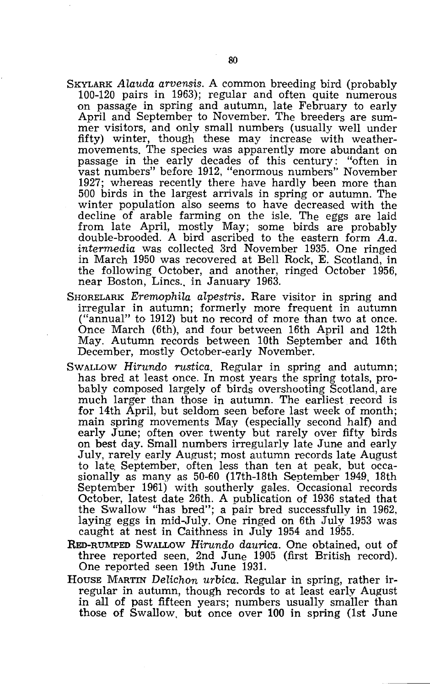- SKYLARK *Alauda arvensis.* A common breeding bird (probably 100-120 pairs in 1963); regular and often quite numerous on passage in spring and autumn, late February to early April and September to November. The breeders are summer visitors, and only small numbers (usually well under fifty) winter, though these may increase with weathermovements. The species was apparently more abundant on passage in the early decades of this century: "often in vast numbers" before 1912, "enormous numbers" November 1927; whereas recently there have hardly been more than 500 birds in the largest arrivals in spring or autumn. The winter population also seems to have decreased with the decline of arable farming on the isle. The eggs are laid from late April, mostly May; some birds are probably double-brooded. A bird ascribed to the eastern form *A.a. intermedia* was collected 3rd November 1935. One ringed in March 1950 was recovered at Bell Rock, E. Scotland, in the following October, and another, ringed October 1956, near Boston, Lincs.. in January 1963.
- SHORELARK *Eremophila alpestris.* Rare visitor in spring and irregular in autumn; formerly more frequent in autumn ("annual" to 1912) but no record of more than two at once. Once March (6th), and four between 16th April and 12th May. Autumn records between 10th September and 16th December, mostly October-early November.
- SWALLOW *Hirundo rustica.* Regular in spring and autumn; has bred at least once. In most years the spring totals, probably composed largely of birds overshooting Scotland, are much larger than those in autumn. The earliest record is for 14th April, but seldom seen before last week of month; main spring movements May (especially second half) and early June; often over twenty but rarely over fifty birds on best day. Small numbers irregularly late June and early July, rarely early August; most autumn records late August to late September, often less than ten at peak, but occasionally as many as 50-60 (17th-18th September 1949, 18th September 1961) with southerly gales. Occasional records October, latest date 26th. A publication of 1936 stated that the Swallow "has bred"; a pair bred successfully in 1962, laying eggs in mid-July. One ringed on 6th July 1953 was caught at nest in Caithness in July 1954 and 1955.
- RED-RUMPED SWALLOW *Hirundo daurica.* One obtained, out of three reported seen, 2nd June 1905 (first British record). One reported seen 19th June 1931.
- HOUSE MARTIN *Delichon urbica.* Regular in spring, rather irregular in autumn, though records to at least early August in all of past fifteen years; numbers usually smaller than those of Swallow, but once over 100 in spring (1st June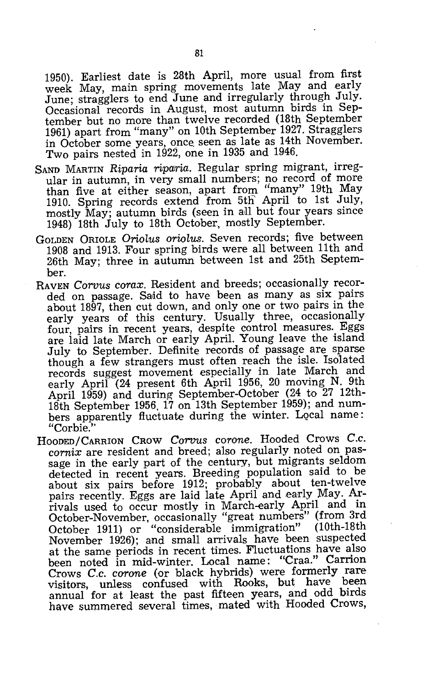1950). Earliest date is 28th April, more usual from first week May, main spring movements late May and early June; stragglers to end June and irregularly through July. Occasional records in August, most autumn birds in September but no more than twelve recorded (18th September 1961) apart from "many" on 10th September 1927. Stragglers in October some years, once seen as late as 14th November. Two pairs nested in 1922, one in 1935 and 1946.

- SAND MARTIN *Riparia riparria.* Regular spring migrant, irregular in autumn, in very small numbers; no record of more than five at either season, apart from "many" 19th May 1910. Spring records extend from 5th April to 1st July, mostly May; autumn birds (seen in all but four years since 1948) 18th July to 18th October, mostly September.
- GOLDEN ORIOLE *OrioLus oriolus.* Seven records; five between 1908 and 1913. Four spring birds were all between 11th and 26th May; three in autumn between 1st and 25th September.
- RAVEN *Corvus corax.* Resident and breeds; occasionally recorded on passage. Said to have been as many as six pairs about 1897, then cut down, and only one or two pairs in the early years of this century. Usually three, occasionally four, pairs in recent years, despite control measures. Eggs are laid late March or early April. Young leave the island July to September. Definite records of passage are sparse though a few strangers must often reach the isle. Isolated records suggest movement especially in late March and early April (24 present 6th April 1956, 20 moving N. 9th April 1959) and during September-October (24 to 27 12th-18th September 1956, 17 on 13th September 1959); and numbers apparently fluctuate during the winter. Local name: "Corbie."
- HOODED/CARRION CROW *Corvus corone.* Hooded Crows *C.c. cornix* are resident and breed; also regularly noted on passage in the early part of the century, but migrants seldom detected in recent years. Breeding population said to be about six pairs before 1912; probably about ten-twelve pairs recently. Eggs are laid late April and early May. Arrivals used to Occur mostly in March-early April and in October-November, occasionally "great numbers" (from 3rd October 1911) or "considerable immigration" November 1926); and small arrivals have been suspected at the same periods in recent times. Fluctuations have also been noted in mid-winter. Local name: "Craa." Carrion Crows *C.c. corone* (or black hybrids) were formerly rare visitors, unless confused with Rooks, but have been annual for at least the past fifteen years, and odd birds have summered several times, mated with Hooded Crows,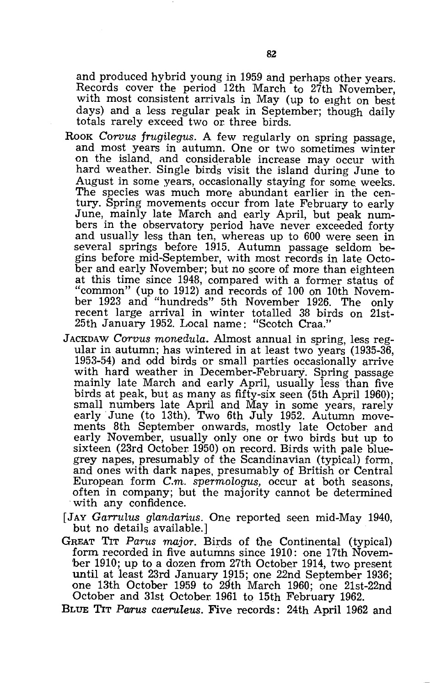and produced hybrid young in 1959 and perhaps other years. Records cover the period 12th March to 27th November, with most consistent arrivals in May (up to eight on best days) and a less regular peak in September; though daily totals rarely exceed two or three birds.

- Rook *Corvus frugilegus*. A few regularly on spring passage, and most years in autumn. One or two sometimes winter on the island, and considerable increase may occur with hard weather. Single birds visit the island during June to August in some years, occasionally staying for some, weeks. The species was much more abundant earlier in the century. Spring movements occur from late February to early June, mainly late March and early April, but peak numbers in the observatory period have never exceeded forty and usually less than ten, whereas up to 600 were seen in several springs before 1915. Autumn passage seldom begins before mid-September, with most records in late October and early November; but no score of more than eighteen at this time since 1948, compared with a former status of "common" (up to 1912) and records of 100 on 10th November 1923 and "hundreds" 5th November 1926. The only recent large arrival in winter totalled 38 birds on 21st-25th January 1952. Local name: "Scotch Craa."
- JACKDAW *Corvus monedula.* Almost annual in spring, less regular in autumn; has wintered in at least two years (1935-36, 1953-54) and odd birds or small parties occasionally arrive with hard weather in December-February. Spring passage mainly late March and early April, usually less than five birds at peak, but as many as fifty-six seen (5th April 1960); small numbers late April and May in some years, rarely early June (to 13th). Two 6th July 1952. Autumn movements 8th September onwards, mostly late October and early November, usually only one or two birds but up to. sixteen (23rd October 1950) on record. Birds with pale bluegrey napes, presumably of the Scandinavian (typical) form, and ones with dark napes, presumably of British or Central European form *C.m. spermologus*, occur at both seasons, often in company; but the majority cannot be determined with any confidence.
- [JAY *Garrulus glandarius.* One reported seen mid-May 1940, but no details available.]
- GREAT TIT *Parus major.* Birds of tbe Continental (typical) form recorded in five autumns since 1910: one 17th November 1910; up to a dozen from 27th October 1914, two present until at least 23rd January 1915; one 22nd September 1936; one 13th October 1959 to 29th March 1960; one 21st-22nd October and 31st October 1961 to 15th February 1962.
- BLUE TIT Parus caeruleus. Five records: 24th April 1962 and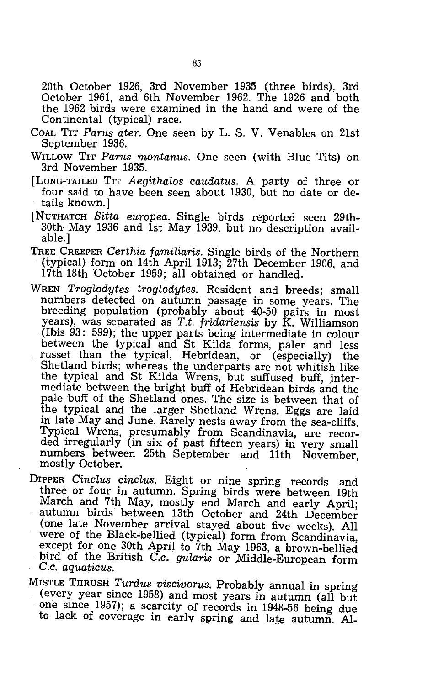20th October 1926, 3rd November 1935 (three birds), 3rd October 1961, and 6th November 1962. The 1926 and both the 1962 birds were examined in the hand and were of the Continental (typical) race.

- COAL TIT *Parus ater.* One seen by L. S. V. Venables on 21st September 1936.
- WILLOW TIT *Parus montanus.* One seen (with Blue Tits) on 3rd November 1935.
- [LONG-TAILED TIT *Aegithalos caudatus.* A party of three or four said to have been seen about 1930, but no date or details known.]
- [NUTHATCH *Sitta europea.* Single birds reported seen 29th-30th May 1936 and 1st May 1939, but no description available.]
- TREE CREEPER *Certhia familiaris.* Single birds of the Northern (typical) form on 14th April 1913; 27th December 1906, and 17th-18th October 1959; all obtained or handled.
- WREN *Troglodytes troglodytes.* Resident and breeds; small numbers detected on autumn passage in some years. The breeding population (probably about 40-50 pairs in most years), was separated as *T.t. fridariensis* by K. Williamson (Ibis 93: 599); the upper parts being intermediate in colour between the typical and St Kilda forms, paler and less russet than the typical, Hebridean, or (especially) the Shetland birds; whereas the underparts are not whitish like the typical and St Kilda Wrens, but suffused buff, intermediate between the bright buff of Hebridean birds and the pale buff of the Shetland ones. The size is between that of the typical and the larger Shetland Wrens. Eggs are laid in late May and June. Rarely nests away from the sea-cliffs. Typical Wrens, presumably from Scandinavia, are recorded irregularly (in six of past fifteen years) in very small numbers between 25th September and 11th November, mostly October.
- DrPPER *Cinclus cinclus.* Eight or nine spring records and three or four in autumn. Spring birds were between 19th March and 7th May, mostly end March and early April; autumn birds· between 13th October and 24th December (one late November arrival stayed about five weeks). All were of the Black-bellied (typical) form from Scandinavia, except for one 30th April to 7th May 1963, a brown-bellied bird of the British *C.c. gularis* or Middle-European form *e.c. aquaticus.*
- MISTLE THRUSH *Turdus viscivorus.* Probably annual in spring (every year since 1958) and most years in autumn (all but one since 1957); a scarcity of records in 1948-56 being due to lack of coverage in early spring and late autumn. Al-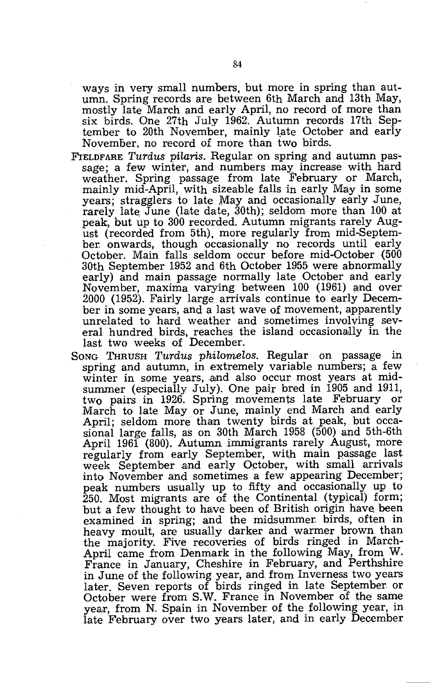ways in very small numbers, but more in spring than autumn. Spring records are between 6th March and 13th May, mostly late March and early April, no record of more than six birds. One 27th July 1962. Autumn records 17th September to 20th November, mainly late October and early November, no record of more than two birds.

- FIELDFARE *Turdus pilaris.* Regular on spring and autumn passage; a few winter, and numbers may increase with hard weather. Spring passage from late February or March, mainly mid-April, with sizeable falls in early May in some years; stragglers to late May and occasionally early June, rarely late June (late date, 30th); seldom more than 100 at peak, but up to 300 recorded. Autumn migrants rarely August (recorded from 5th). more regularly from mid-September onwards, though occasionally no records until early October. Main falls seldom occur before mid-October (500 30th September 1952 and 6th October 1955 were abnormally early) and main passage normally late October and early November, maxima varying between 100 (1961) and over 2000 (1952). Fairly large arrivals continue to early December in some years, and a last wave of movement, apparently unrelated to hard weather and sometimes involving several hundred birds, reaches the island occasionally in the last two weeks of December.
- SONG THRUSH *Turdus philomelos.* Regular on passage in spring and autumn, in extremely variable numbers; a few winter in some years, and also occur most years at midsummer (especially July). One pair bred in 1905 and 1911, two pairs in 1926. Spring movements late February or March to late Mayor June, mainly end March and early April; seldom more than twenty birds at peak, but occasional large falls, as on 30th March 1958 (500) and 5th-6th April 1961 (800). Autumn immigrants rarely August, more regularly from early September, with main passage last week September and early October, with small arrivals into November and sometimes a few appearing December; peak numbers usually up to fifty and occasionally up to 250. Most migrants are of the Continental (typical) form; but a few thought to have been of British origin have been examined in spring; and the midsummer birds, often in heavy moult, are usually darker and warmer brown than the majority. Five recoveries of birds ringed in March-April came from Denmark in the following May, from W. France in January, Cheshire in February, and Perthshire in June of the following year, and from Inverness two years later. Seven reports of birds ringed in late September. or October were from S.W. France in November of the same year, from N. Spain in November of the following year, in late February over two years later, and in early December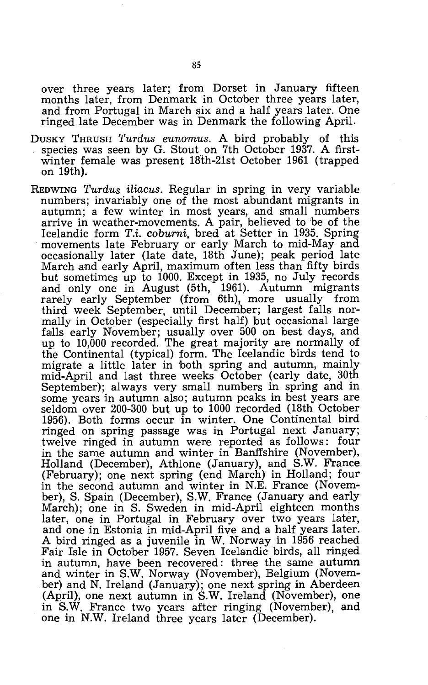over three years later; from Dorset in January fifteen months later, from Denmark in October three years later, and from Portugal in March six and a half years later. One ringed late December was in Denmark the following April.

- DUSKY THRUSH *Turdus eunomus.* A bird probably of this species was seen by G. Stout on 7th October 1937. A firstwinter female was present 18th-21st October 1961 (trapped on 19th).
- REDWING *Turdus iliacus.* Regular in spring in very variable numbers; invariably one of the most abundant migrants in autumn; a few winter in most years, and small numbers arrive in weather-movements. A pair, believed to 'be of the Icelandic form *T.i. coburni.* bred at Setter in 1935. Spring movements late February or early March to mid-May and occasionally later (late date, 18th June); peak period late March and early April, maximum often less than fifty birds but sometimes up to 1000. Except in 1935, no July records and only one in August (5th, 1961). Autumn migrants rarely early September (from 6th), more usually from third week September, until December; largest falls normally in October (especially first half) but occasional large falls early November; usually over 500 on best days, and up to 10,000 recorded. The great majority are normally of the Continental (typical) form. The Icelandic birds tend to migrate a little later in 'both spring and autumn, mainly mid-April and last three weeks October (early date, 30th September); always very small numbers in spring and in some years in autumn also; autumn peaks in best years are seldom over 200-300 but up to 1000 recorded (18th October 1956). Both forms occur in winter. One Continental bird ringed on spring passage was in Portugal next January; twelve ringed in autumn were reported as follows: four in the same autumn and winter in Banffshire (November), Holland (December), Athlone (January), and S.W. France (February); one next spring (end March) in Holland; four in the second autumn and winter in N.E. France (November), S. Spain (December), S.W. France (January and early March); one in S. Sweden in mid-April eighteen months later, one in Portugal in February over two years later, and one in Estonia in mid-April five and a half years later. A bird ringed as a juvenile in W. Norway in 1956 reached Fair Isle in October 1957. Seven Icelandic birds, all ringed in autumn, have been recovered: three the same autumn and winter in S.W. Norway (November), Belgium (Novem· ber) and N. Ireland (January); one next spring in Aberdeen (April), one next autumn in S.W. Ireland (November), one in S.W. France two years after ringing (November), and one in N.W. Ireland three years later (December).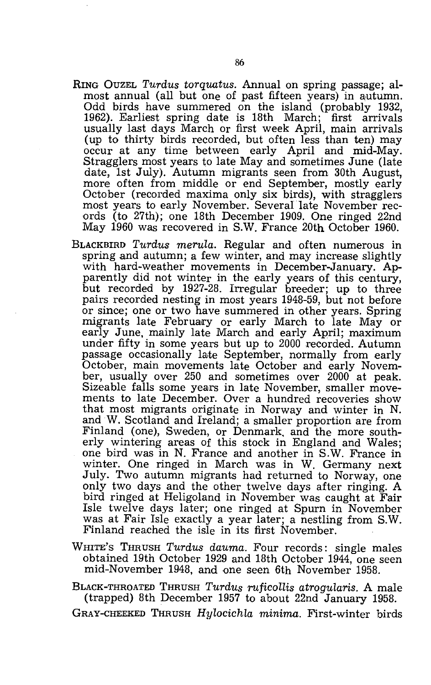- RING OUZEL *Turdus torquatus.* Annual on spring passage; almost annual (all but one of past fifteen years) in autumn. Odd birds have summered on the island (probably 1932, 1962). Earliest spring date is 18th March; first arrivals usually last days March or first week April, main arrivals (up to thirty birds recorded, but often less than ten) may occur at any time between early April and mid-May. Stragglers most years to late May and sometimes June (late date, 1st July). Autumn migrants seen from 30th August, more often from middle or end September, mostly early October (recorded maxima only six birds), with stragglers most years to early November. Several late November records (to 27th); one 18th December 1909. One ringed 22nd May 1960 was recovered in S.W. France 20th October 1960.
- BLACKBIRD *Turdus merula.* Regular and often numerous in spring and autumn; a few winter, and may increase slightly with hard-weather movements in December-January. Apparently did not winter in the early years of this century, but recorded by 1927-28. Irregular breeder; up to three pairs recorded nesting in most years 1948-59, but not before or since; one or two have summered in other years. Spring migrants late February or early March to late May or early June, mainly late March and early April; maximum under fifty in some years but up to 2000 recorded. Autumn passage occasionally laite September, normally from early October, main movements late October and early November, usually over 250 and sometimes over 2000 at peak. Sizeable falls some years in late November, smaller movements to late December. Over a hundred recoveries show that most migrants originate in Norway and winter in N. and W. Scotland and Ireland; a smaller proportion are from Finland (one), Sweden, or Denmark, and the more southerly wintering areas of this stock in England and Wales; one bird was in N. France and another in S.W. France in winter. One ringed in March was in W. Germany next July. Two autumn migrants had returned to Norway, one only two days and the other twelve days after ringing. A bird ringed at Heligoland in November was caught at Fair Isle twelve days later; one ringed at Spurn in November was at Fair Isle exactly a year later; a nestling from S.W. Finland reached the isle in its first November.
- WHITE'S THRUSH *Turdus dauma.* Four records: single males obtained 19th October 1929 and 18th October 1944, one seen mid-November 1948, and one seen 6th November 1958.
- BLACK-THROATED THRUSH *Turdus ruficollis atrogularis.* A male (trapped) 8th December 1957 to about 22nd January 1958.
- GRAY-CHEEKED THRUSH *Hylocichla minima.* First-winter birds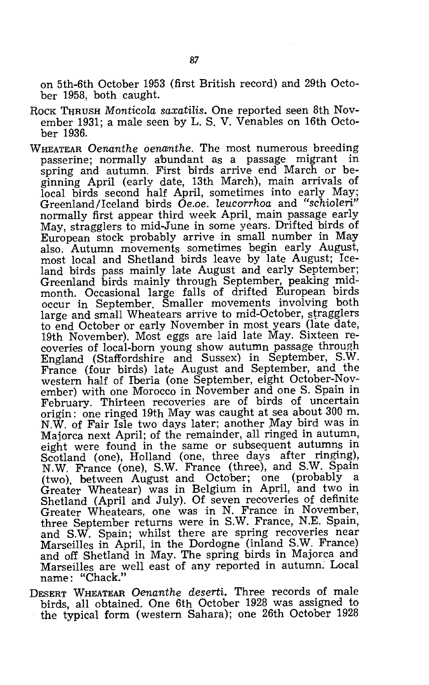on 5th-6th October 1953 (first British record) and 29th October 1958, both caught.

- ROCK THRUSH *Monticola saxatilis*. One reported seen 8th November 1931; a male seen by L. S. V. Venables on 16th October 1936.
- WHEATEAR *Oenanthe oenanthe.* The most numerous breeding passerine; normally abundant as a passage migrant in spring and autumn. First birds arrive end March or beginning April (early date, 13th March), main arrivals of local birds second half April, sometimes into early May; Greenland/Iceland birds *Oe.oe. leucorrhoa* and *"schioleri"*  normally first appear third week April, main passage early May, stragglers to mid-June in some years. Drifted birds of  $\rm\,European$  stock probably arrive in small number in May also. Autumn movements sometimes begin early August, most local and Shetland birds leave by late August; Iceland birds pass mainly late August and early September; Greenland birds mainly through September, peaking midmonth. Occasional large falls of drifted European birds occur in September. Smaller movements involving both large and small Wheatears arrive to mid-October, stragglers to end October or early November in most years (late date, 19th November). Most eggs are laid late May. Sixteen recoveries of local-born young show autumn passage through England (Staffordshire and Sussex) in September, S.W. France (four birds) late August and September, and the western half of Iberia (one September, eight October-November) with one Morocco in November and one S. Spain in February. Thirteen recoveries are of birds of uncertain origin: one ringed 19th May was caught at sea about 300 m. N.W. of Fair Isle two days later; another May bird was in Majorca next April; of the remainder, all ringed in autumn, eight were found in the same or subsequent autumns in Scotland (one), Holland (one, three days after ringing), N.W. France (one), S.W. France (three), and S.W. Spain (two), between August and October; one (probably a Greater Wheatear) was in Belgium in April, and two in Shetland (April and July). Of seven recoveries of definite Greater Wheatears, one was in N. France in November, three September returns were in S.W. France, N.E. Spain, and S.W. Spain; whilst there are spring recoveries near Marseilles in April, in the Dordogne (inland S.W. France) and off Shetland in May. The spring\_ birds in Majorca and Marseilles are well east of any reported in autumn: Local name: "Chack."
- DESERT WHEATEAR *Oenanthe deserti.* Three records of male birds, all obtained. One 6th October 1928 was assigned to the typical form (western Sahara); one 26th October 1928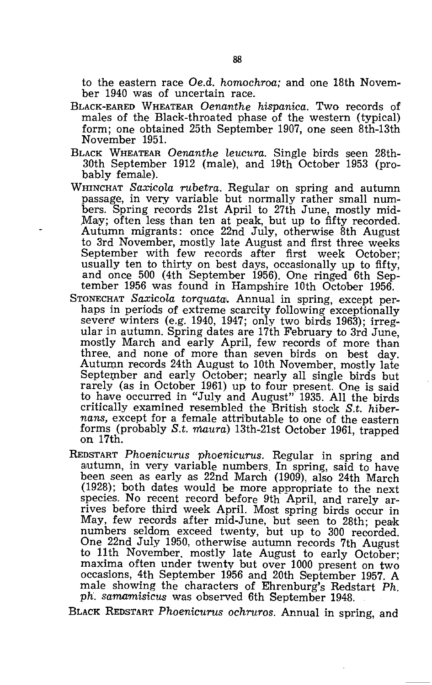to the eastern race *Oe.d. homochroa;* and one 18th November 1940 was of uncertain race.

- BLACK-EARED WHEATEAR *Oenanthe hispanica.* Two records of males of the Black-throated phase of the western (typical) form; one obtained 25th September 1907, one seen 8th-13th November 1951.
- BLACK WHEATEAR *Oenanthe leucura.* Single birds seen 28th-30th September 1912 (male), and 19th October 1953 (probably femaJe).
- WHINCHAT *Saxicola rubetra.* Regular on spring and autumn passage, in very variable but normally rather small numbers. Spring records 21st April to 27th June, mostly mid-May; often less than ten at peak, but up to fifty recorded. Autumn migrants: once 22nd July, otherwise 8th August to 3rd November, mostly late August and first three weeks September with few records after first week October; usually ten to thirty on best days, occasionally up to fifty, and once 500 (4th September 1956). One ringed 6th September 1956 was found in Hampshire 10th October 1956.
- STONECHAT Saxicola torquata. Annual in spring, except perhaps in periods of extreme scarcity following exceptionally severe winters (e.g. 1940, 1947; only two birds 1963); irregular in autumn. Spring dates are 17th February to 3rd June, mostly March and early April, few records of more than three. and none of more than seven birds on best day. Autumn records 24th August to 10th November, mostly late September and early October; nearly all single birds but rarely (as in October 1961) up to four present. One is said to have occurred in "July and August" 1935. All the birds critically examined resembled the British stock *S.t. hibernans,* except for a female attributable to one of the eastern forms (probably *S.t. maura)* 13th-21st October 1961, trapped on 17th.
- REDSTART *Phoenicurus phoenicurus.* Regular in spring and autumn, in very variable numbers. In spring, said to have been seen as early as 22nd March (1909), also 24th March (1928); both dates would be more appropriate to the next species. No recent record before 9th April, and rarely arrives before third week April. Most spring birds occur in May, few records after mid-June, but seen to 28th; peak numbers seldom exceed twenty, but up to 300 recorded. One 22nd July 1950, otherwise autumn records 7th August to 11th November. mostly late August to early October; maxima often under twenty but over 1000 present on two occasions, 4th September 1956 and 20th September 1957. A male showing the characters of Ehrenburg's Redstart *Ph*. *ph. samamisicus* was observed 6th September 1948.

BLACK REDSTART *Phoenicurus ochruros.* Annual in spring, and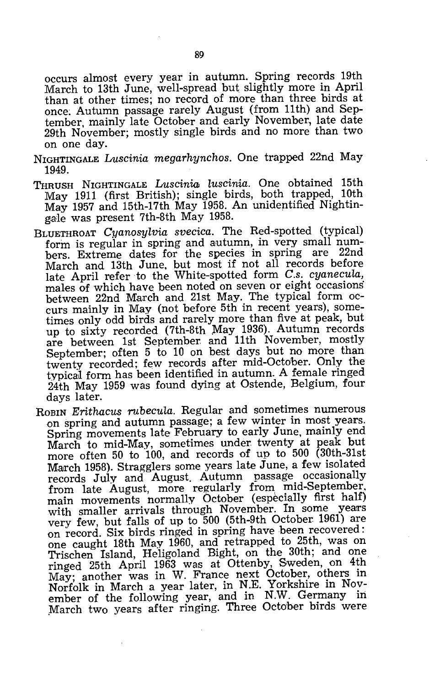occurs almost every year in autumn. Spring records 19th March to 13th June, well-spread but slightly more in April than at other times; no record of more than three birds at once; Autumn passage rarely August (from 11th) and September, mainly late October and early November, late date 29th November; mostly single birds and no more than two on one day.

- NIGHTINGALE *Luscinia megarhynchos.* One trapped 22nd May 1949.
- THRUSH NIGHTINGALE *Luscinia luscinia.* One obtained 15th May 1911 (first British); single birds, both trapped, 10th May 1957 and 15th-17th May 1958. An unidentified Nightingale was present 7th-8th May 1958.
- BLUETHROAT *Cyanosylvia svecica.* The Red-spotted (typical) form is regular in spring and autumn, in very small numbers. Extreme dates for the species in spring are 22nd March and 13th June, but most if not all records before late April refer to the White-spotted form *C.s. cyanecula,*  males of which have been noted on seven or eight occasions between 22nd March and 21st May. The typical form occurs mainly in May (not before 5th in recent years), sometimes only odd birds and rarely more than five at peak, but up to sixty recorded (7th-8th May 1936). Autumn records are between 1st September. and 11th November, mostly September; often 5 to 10 on best days but no more than twenty recorded; few records after mid-October. Only the typicaJ form has been identified in autumn. A female ringed 24th May 1959 was found dying at Ostende, Belgium, four days later.
- ROBIN *Erithacus rubecula.* Regular and sometimes numerous on spring and autumn passage; a few winter in most years. Spring movements late February to early June, mainly end March to mid-May, sometimes under twenty at peak but more often 50 to 100, and records of up to 500 (30th-31st March 1958). Stragglers some years late June, a few isolated records July and August. Autumn passage occasionally from late August, more regularly from mid-September, main movements normally October (especially first half) with smaller arrivals through November. In some years very few, but falls of up to 500 (5th-9th October 1961) are on record. Six birds ringed in spring have been recovered: one caught 18th May 1960, and retrapped to 25th, was on Trischen Island, Heligoland Bight, on the 30th; and one ringed 25th April 1963 was at Ottenby, Sweden, on 4th May; another was in W. France next October, others in Norfolk in March a year later, in N.E. Yorkshire in November of the following year, and in N.W. Germany in March two years after ringing. Three October birds were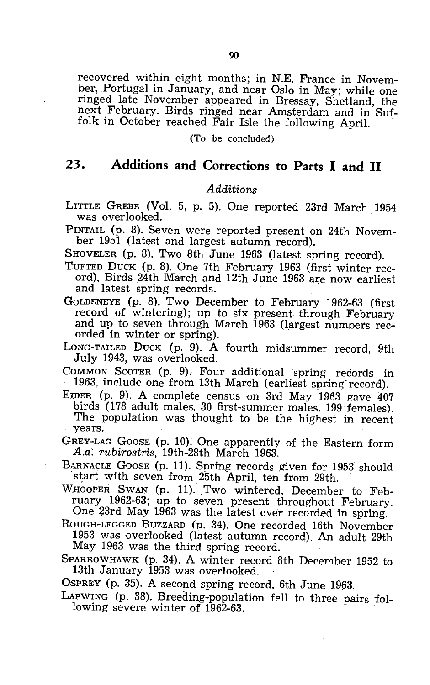recovered within eight months; in N.E. France in November, Portugal in January, and near Oslo in May; while one ringed late November appeared in Bressay, Shetland, the next February. Birds ringed near Amsterdam and in Suffolk in October reached Fair Isle the following April.

(To be concluded)

#### **23. Additions and Corrections to Parts I and 11**

#### *Additions*

LITTLE GREBE (Vol. 5, p. 5). One reported 23rd March 1954 was overlooked.

PINTAIL (p. 8). Seven were reported present on 24th November 1951 (latest and largest autumn record).

SHOVELER (p. 8). Two 8th June 1963 (latest spring record).

- TuFTED DUCK (p. 8). One 7th February 1963 (first winter record). Birds 24th March and 12th June 1963 are now earliest and latest spring records.
- GOLDENEYE (p. 8). Two December to February 1962-63 (first record of wintering); up to six present through February and up to seven through March 1963 (largest numbers recorded in winter or spring).

LONG-TAILED DUCK (p. 9). A fourth midsummer record, 9th July 1943, was overlooked.

COMMON SCOTER (p. 9). Four additional spring records in 1963, include one from 13th March (earliest spring record).

EIDER (p. 9). A complete census on 3rd May 1963 gave 407 birds (178 adult males, 30 first-summer males. 199 females). The population was thought to be the highest in recent years.

GREY-LAG GOOSE (p. 10). One apparently of the Eastern form *A.a: rubirostris,* 19th-28th March 1963.

BARNACLE GOOSE (p. 11). Spring records given for 1953 should start with seven from 25th April, ten from 29th.

WHOOPER SWAN (p. 11). Two wintered, December to February 1962-63; up to seven present throughout February. One 23rd May 1963 was the latest ever recorded in spring.

ROUGH-LEGGED BUZZARD (p. 34). One recorded 16th November 1953 was overlooked (latest autumn record). An adult 29th May 1963 was the third spring record.

SPARROWHAWK (p. 34). A winter record 8th December 1952 to 13th January 1953 was overlooked.

OSPREY (p. 35). A second spring record, 6th June 1963.

LAPWING (p. 38). Breeding-population fell to three pairs following severe winter of 1962-63.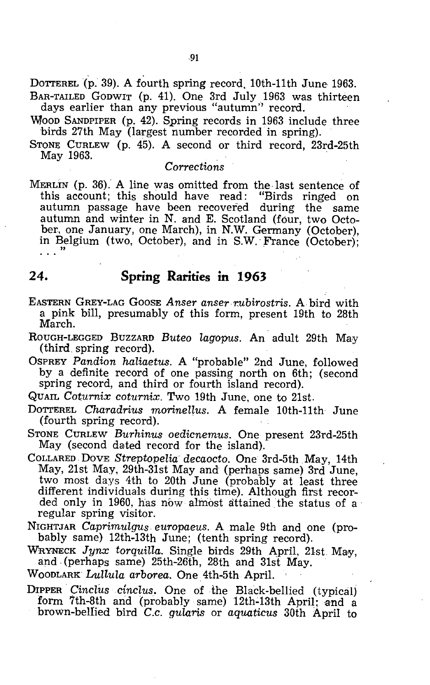DOTTEREL(p. 39). A fourth spring record, 10th-11th June 1963. BAR-TAILED GODWIT (p. 41). One 3rd July 1963 was thirteen days earlier than any previous "autumn" record.

WOOD SANDPIPER (p. 42). Spring records in 1963 include three birds 27th May (largest number recorded in spring).

STONE CURLEW (p. 45). A second or third record, 23rd-25th May 1963.

#### *Corrections*

MERLIN (p. 36). A line was omitted from the last sentence of this account; this should have read: "Birds ringed on this account; this should have read: autumn passage have been recovered during the same autumn and winter in N. and E. Scotland (four, two October, one January, one March), in N.W. Germany (October), in Belgium (two, October), and in S.W. France (October); . . . "

#### **24. Spring Rarities in 1963**

- EASTERN GREY-LAG GOOSE Anser anser rubirostris. A bird with a pink bill, presumably of this form, present 19th to 2Sth March.
- ROUGH-LEGGED BUZZARD Buteo lagopus. An adult 29th May (third, spring record).

OSPREY Pandion haliaetus. A "probable" 2nd June, followed by a definite record of one passing north on 6th; (second spring record, and third or fourth island record).

QUAIL *Coturnix coturnix.* Two 19th June, one to 21st.

DOTTEREL *Charadrius morinellus.* A female 10th-11th June (fourth spring record). .

STONE CURLEW *Burhinus oedicnemus.* One present 23rd-25th May (second dated record for the island).

- COLLARED DoVE *Streptopelia decaocto.* One 3rd-5th May, 14th May, 21st May, 29th-31st May and (perhaps same) 3rd June, two most days 4th to 20th June (probably at least three different individuals during this time). Although first recorded only in 1960, has now almost attained the status of a regular spring visitor.
- NIGHTJAR *Caprimulgus europaeus.* A male 9th and one (probably same) 12th-13th June; (tenth spring record).

WRYNECK Jynx torquilla. Single birds 29th April, 21st May, and, (perhaps same) 25th-26th, 2Sth and 31st May.

WOODLARK *Lullula arborea.* One 4th-5th April. '

DIPPER *Cinclus cinclus*. One of the Black-bellied (typical) form 7th-8th and (probably same) 12th-13th April; and a brown-bellied bird *C.c. gularis* or *aquaticus* 30th April to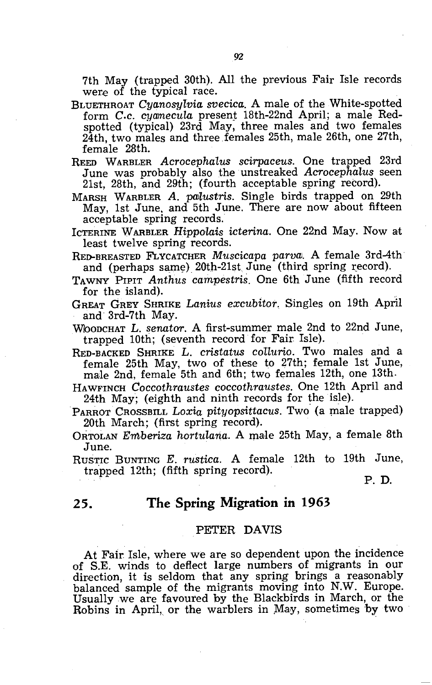7th May (trapped 30th). All the previous Fair Isle records were of the typical race.

- BLUETHROAT *Cyanosylvia svecica.* A male of the White-spotted form *C.c. cyamecula* present 18th-22nd April; a male Redspotted (typical) 23rd May, three males and two females 24th, two males and three females 25th, male 26th, one 27th, female 28th.
- REED WARBLER *Acrocephalus scirpaceus.* One trapped 23rd June was probably also the unstreaked *Acrocephalus* seen 21st, 28th, and 29th; (fourth acceptable spring record).
- MARSH WARBLER *A. pOJlustris.* Single birds trapped on 29th May, 1st June, and 5th June. There are now about fifteen acceptable spring records.
- ICTERINE WARBLER *Hippolais icterina*. One 22nd May. Now at least twelve spring records.
- RED-BREASTED FLYCATCHER *Muscicapa parval.* A female 3rd-4th and (perhaps same)  $20th-21st$  June (third spring record).
- TAWNY PIPIT *Anthus campestris.* One 6th June (fifth record for the island).

GREAT GREY SHRIKE *Lanius excubitor.* Singles on 19th April and 3rd-7th May.

- WOODCHAT L. senator. A first-summer male 2nd to 22nd June, trapped 10th; (seventh record for Fair Isle).
- RED-BACKED SHRIKE L. *cristatus coUurio.* Two males and a female 25th May, two of these to 27th; female 1st June, male 2nd, female 5th and 6th; two females 12th, one 13th.
- HAWFINCH *Coccothraustes coccothraustes.* One 12th April and 24th May; (eighth and ninth records for the isle).
- PARROT CROSSBILL *Loxia pityopsittacus.* Two (a male trapped) 20th March; (first spring record).
- ORTOLAN *Emberiza hortulana.* A male 25th May, a female 8th June.

RUSTIC BUNTING *E. rustica.* A female 12th to 19th June, trapped 12th; (fifth spring record).

P. D.

#### **25. The Spring Migration in 1963**

#### PETER DAVIS

At Fair Isle, where we are so dependent upon the incidence of S.E. winds to deflect large numbers of migrants in our direction, it is seldom that any spring brings a reasonably balanced sample of the migrants moving into N.W. Europe. Usually we are favoured by the Blackbirds in March, or the Robins in April, or the warblers in May, sometimes by two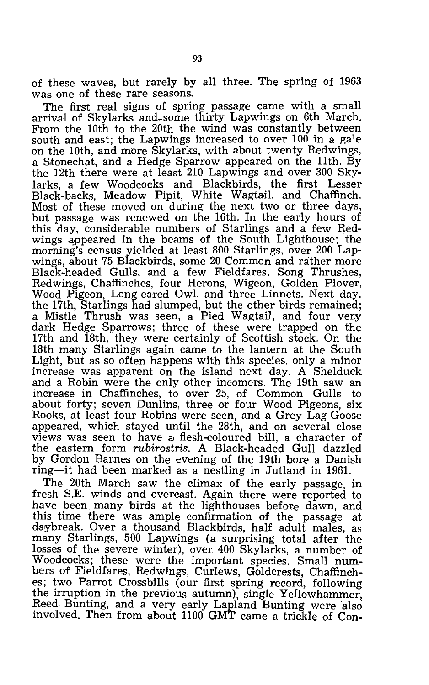of these waves, but rarely by all three. The spring of 1963 was one of these rare seasons.

The first real signs of spring passage came with a small arrival of Skylarks and\_some thirty Lapwings on 6th March. From the 10th to the 20th the wind was constantly between south and east; the Lapwings increased to over 100 in a gale on the 10th, and more Skylarks, with about twenty Redwings, a Stonechat, and a Hedge Sparrow appeared on the 11th. By the 12th there were at least 210 Lapwings and over 300 Skylarks, a few Woodcocks and Blackbirds, the first Lesser Black-backs, Meadow Pipit, White Wagtail, and Chaffinch. Most of these moved on during the next two or three days, but passage was renewed on the 16th. In the early hours of this day, considerable numbers of Starlings and a few Redwings appeared in the beams of the South Lighthouse; the morning's census yielded at least 800 Starlings, over 200 Lapwings, about 75 Blackbirds, some 20 Common and rather more Black-headed Gulls, and a few Fieldfares, Song Thrushes, Redwings, Chaffinches, four Herons, Wigeon, Golden Plover, Wood Pigeon, Long-eared Owl, and three Linnets. Next day, the 17th, Starlings had slumped, but the other birds remained; a Mistle Thrush was seen, a Pied Wagtail, and four very dark Hedge Sparrows; three of these were trapped on the 17th and 18th, they were certainly of Scottish stock. On the 18th many Starlings again came to the lantern at the South Light, but as so often happens with this species, only a minor increase was apparent on the island next day. A Shelduck and a Robin were the only other incomers. The 19th saw an increase in Chaffinches, to over 25, of Common Gulls to about forty; seven Dunlins, three or four Wood Pigeons, six Rooks, at least four Robins were seen, and a Grey Lag-Goose appeared, which stayed until the 28th, and on several close views was seen to have a, flesh-coloured bill, a character of the eastern form *rubirostris.* A Black-headed Gull dazzled by Gordon Barnes on the evening of the 19th bore a Danish ring-it had been marked as a nestling in Jutland in 1961.

The 20th March saw the climax of the early passage, in fresh S.E. winds and overcast. Again there were reported to have been many birds at the lighthouses before dawn, and this time there was ample confirmation of the passage at daybreak. Over a thousand Blackbirds, half adult males, as many Starlings, 500 Lapwings (a surprising total after the losses of the severe winter), over 400 Skylarks, a number of Woodcocks; these were the important species. Small numbers of Fieldfares, Redwings, Curlews, Goldcrests, Chaffinches; two Parrot Crossbills (our first spring record, following the irruption in the previous autumn), single Yellowhammer, Reed Buntmg, and a very early Lapland Bunting were also involved. Then from about 1100 GMT came a trickle of Con-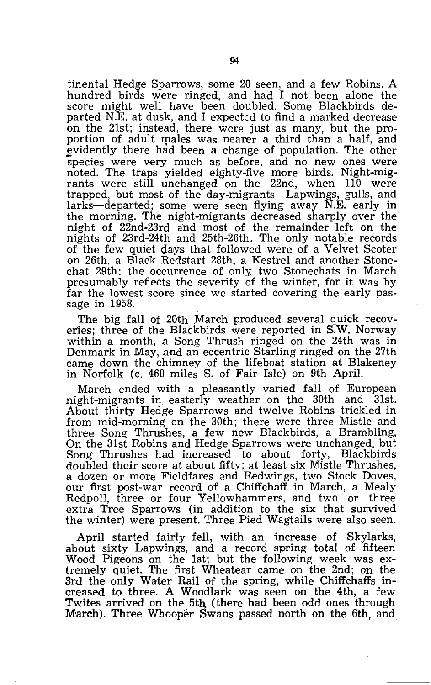tinental Hedge Sparrows, some 20 seen, and a few Robins. A hundred birds were ringed, and had I not been alone the score might well have been doubled. Some Blackbirds departed N.E. at dusk, and I expected to find a marked decrease on the 21st; instead, there were just as many, but the proportion of adult males was nearer a third than a half, and evidently there had been a change of population. The other species were very much as before, and no new ones were noted. The traps yielded eighty-five more birds. Night-migrants were still unchanged on the 22nd, when 110 were trapped, but most of the day-migrants-Lapwings, gulls, and larks-departed; some were seen flying away N.E. early in the morning. The night-migrants decreased sharply over the night of 22nd-23rd and most of the remainder left on the nights of 23rd-24th and 25th-26th. The only notable records of the few quiet days that followed were of a Velvet Scoter on 26th, a Black Redstart 28th, a Kestrel and another Stonechat 29th; the occurrence of only two Stonechats in March presumably reflects the severity of the winter, for it was by far the lowest score since we started covering the early passage in 1958.

The big fall of 20th March produced several quick recoveries; three of the Blackbirds were reported in S.W. Norway within a month, a Song Thrush ringed on the 24th was in Denmark in May, and an eccentric Starling ringed on the 27th came down the chimney of the lifeboat station at Blakeney in Norfolk (c. 460 miles S. of Fair Isle) on 9th April.

March ended with a pleasantly varied fall of European night-migrants in easterly weather on the 30th and 31st. About thirty Hedge Sparrows and twelve Robins trickled in from mid-morning on the 30th; there were three Mistle and three Song Thrushes, a few new Blackbirds, a Brambling, On the 31st Robins and Hedge Sparrows were unchanged, but Song Thrushes had increased to about forty, Blackbirds doubled their score at about fifty; at least six Mistle Thrushes, a dozen or more Fieldfares and Redwings, two Stock Doves, our first post-war record of a Chiffchaff in March, a Mealy Redpoll, three or four Yellowhammers, and two or three extra Tree Sparrows (in addition to the six that survived the winter) were present. Three Pied Wagtails were also seen.

April started fairly fell, with an increase of Skylarks, about sixty Lapwings, and a record spring total of fifteen Wood Pigeons on the 1st; but the following week was extremely quiet. The first Wheatear came on the 2nd; on the 3rd the only Water Rail of the spring, while Chiffchaffs increased to three. A Woodlark was seen on the 4th, a few Twites arrived on the *5th* (there had been odd ones through March). Three Whooper Swans passed north on the 6th, and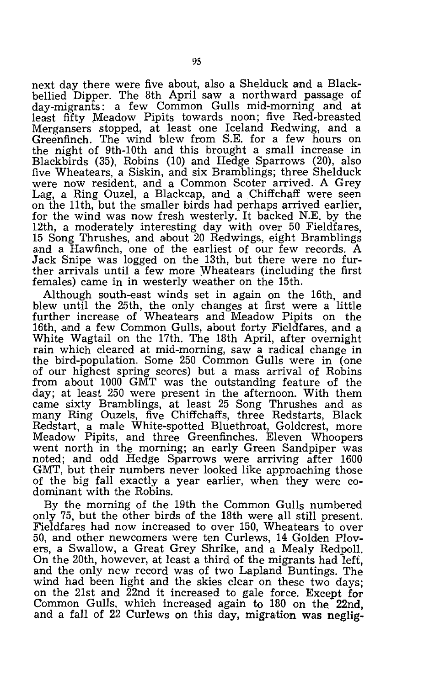next day there were five about, also a Shelduck and a Blackbellied Dipper. The 8th April saw a northward passage of day-migrants: a few Common Gulls mid-morning and at least fifty Meadow Pipits towards noon; five Red-breasted Mergansers stopped, at least one Iceland Redwing, and a Greenfinch. The wind blew from S.E. for a few hours on the night of 9th-10th and this brought a small increase in Blackbirds (35), Robins (10) and Hedge Sparrows (20), allso five Wheatears, a Siskin, and six Bramblings; three Shelduck were now resident, and a Common Scoter arrived. A Grey Lag, a Ring Ouzel, a Blackcap, and a Chiffchaff were seen on the 11th, but the smaller birds had perhaps arrived earlier, for the wind was now fresh westerly. It backed N.E. by the 12th, a moderately interesting day with over 50 Fieldfares, 15 Song Thrushes, and about 20 Redwings, eight Bramblings and a Hawfinch, one of the earliest of our few records. A Jack Snipe was logged on the 13th, but there were no further arrivals until a few more Wheatears (including the first females) came in in westerly weather on the 15th.

Although south-east winds set in again on the 16th, and blew until the 25th, the only changes at first were a little further increase of Wheatears and Meadow Pipits on the 16th, and a few Common Gulls, about forty Fieldfares, and a White Wagtail on the 17th. The 18th April, after overnight rain which cleared at mid-morning, saw a radical change in the bird-population. Some 250 Common Gulls were in (one of our highest spring scores) but a mass arrival of Robins from about 1000 GMT was the outstanding feature of the day; at least 250 were present in the afternoon. With them came sixty Bramblings, at least 25 Song Thrushes and as many Ring Ouzels, five Chiffchaffs, three Redstarts, Black Redstart, a male White-spotted Bluethroat, Goldcrest, more Meadow Pipits, and three Greenfinches. Eleven Whoopers went north in the morning; an early Green Sandpiper was noted; and odd Hedge Sparrows were arriving after 1600 GMT, but their numbers never looked like approaching those of the big fall exactly a year earlier, when they were codominant with the Robins.

By the morning of the 19th the Common Gulls numbered only 75, but the other birds of the 18th were all still present. Fieldfares had now increased to over 150, Wheatears to over 50, and other newcomers were ten Curlews, 14 Golden Plovers, a Swallow, a Great Grey Shrike, and a Mealy Redpoll. On the 20th, however, at least a third of the migrants had left, and the only new record was of two Lapland Buntings. The wind had been light and the skies clear on these two days; on the 21st and 22nd it increased to gale force. Except for Common Gulls, which increased again to 180 on the 22nd, and a fall of 22 Curlews on this day, migration was neglig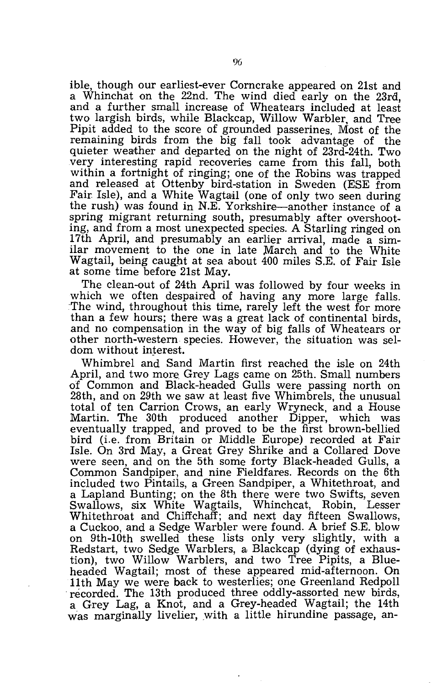ible, though our earliest-ever Corncrake appeared on 21st and a Whinchat on the 22nd. The wind died early on the 23rd, and a further small increase of Wheatears included at least two largish birds, while Blackcap, Willow Warbler, and Tree Pipit added to the score of grounded passerines. Most of the remaining birds from the big fall took advantage of the quieter weather and departed on the night of 23rd-24th. Two very interesting rapid recoveries came from this fall, both within a fortnight of ringing; one of the Robins was trapped and released at Ottenby bird-station in Sweden (ESE from Fair Isle), and a White Wagtail (one of only two seen during the rush) was found in N.E. Yorkshire-another instance of a spring migrant returning south, presumably after overshooting, and from a, most unexpected species. A Starling ringed on 17th April, and presumably an earlier arrival, made a similar movement to the one in late March and to the White Wagtail, being caught at sea about 400 miles S.E. of Fair Isle at some time before 21st May. .

The clean-out of 24th April was followed by four weeks in which we often despaired of having any more large falls. The wind, throughout this time, rarely left the west for more than a few hours; there was a great lack of continental birds, and no compensation in the way of big falls of Wheatears or other north-western species. However, the situation was seldom without interest.

Whimbrel and Sand Martin first reached the isle on 24th April, and two more. Grey Lags came on 25th. Small numbers of Common and Black-headed Gulls were passing north on 28th, and on 29th we saw at least five Whimbrels, the unusual total of ten Carrion Crows, an early Wryneck, and a House Martin. The 30th produced another Dipper, which was eventually trapped, and proved to be the first brown-bellied bird (i.e. from Britain or Middle Europe) recorded at Fair Isle. On 3rd May, a Great Grey Shrike and a Collared Dove were seen, and on the 5th some forty Black-headed Gulls, a Common Sandpiper., and nine Fieldfares. Records on the 6th included two Pintails, a Green Sandpiper, a Whitethroat, and a Lapland Bunting; on the 8th there were two Swifts, seven Swallows, six White Wagtails, Whinchcat, Robin, Lesser Whitethroat and Chiffchaff; and next day fifteen Swallows, a Cuckoo, and a Sedge Warbler were found. A brief S.E. blow on 9th-10th swelled these lists only very slightly, with a Redstart, two Sedge Warblers, a Blackcap (dying of exhaustion), two Willow Warblers, and two Tree Pipits, a Blueheaded Wagtail; most of these appeared mid-afternoon. On 11th May we were back to westerlies; one Greenland Redpoll recorded. The 13th produced three oddly-assorted new birds, a Grey Lag, a Knot,and a Grey-headed Wagtail; the 14th was marginally livelier, with a little hirundine passage, an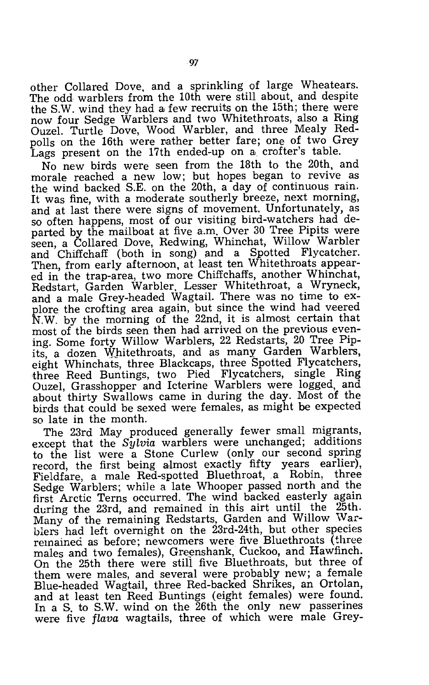other Collared Dove, and a sprinkling of large Wheatears. The odd warblers from the 10th were still about, and despite the S.W. wind they had a few recruits on the 15th; there were now four Sedge Warblers and two Whitethroats, also a Ring Ouzel. Turtle Dove, Wood Warbler, and three Mealy Redpolls on the 16th were rather better fare; one of two Grey Lags present on the 17th ended-up on a, crofter's table.

No new birds were seen from the 18th to the 20th, and morale reached a new low; but hopes began to revive as the wind hacked S.E. on the 20th, a day of continuous rain. It was fine, with a moderate southerly breeze, next morning, and at last there were signs of movement. Unfortunately, as so often happens, most of our visiting bird-watchers had departed by the mailboat at five a.m. Over 30 Tree Pipits were seen, a Collared Dove, Redwing, Whinchat, Willow Warbler and Chiffchaff (both in song) and a Spotted Flycatcher. Then, from early afternoon, at least ten Whitethroats appeared in the trap-area, two more Chiffchaffs, another Whinchat, Redstart, Garden Warbler, Lesser Whitethroat, a Wryneck, and a male Grey-headed Wagtail. There was no time to explore the crofting area again, but since the wind had veered N.W. by the morning of the 22nd, it is almost certain that most of the birds seen then had arrived on the previous evening. Some forty Willow Warblers, 22 Redstarts, 20 Tree Pipits, a dozen Whitethroats, and as many Garden Warblers, eight Whinchats, three Blackcaps, three Spotted Flycatchers, -three Reed Buntings, two Pied Flycatchers, single Ring Ouzel, Grasshopper and Icterine Warblers were logged, and about thirty Swallows came in during the day. Most of the birds that could be sexed were females, as might be expected so late in the month.

The 23rd May produced generally fewer small migrants, except that the *Sylvia* warblers were unchanged; additions to the list were a Stone Curlew (only our second spring record, the first being almost exactly fifty years earlier), Fieldfare, a male Red-spotted Bluethroat, a Robin, three Sedge Warblers; while a late Whooper passed north and the first Arctic Terns occurred. The wind backed easterly again during the 23rd, and remained in this airt until the 25th. Many of the remaining Redstarts, Garden and Willow Warblers had left overnight on the 23rd-24th, but other species remained as before; newcomers were five Bluethroats (three males and two females), Greenshank, Cuckoo, and Hawfinch. On the 25th there were still five Bluethroats, but three of them were males, and several were probably new; a female Blue-headed Wagtail, three Red-backed Shrikes, an Ortolan, and at least ten Reed Buntings (eight females) were found. In a S. to S.W. wind on the 26th the only new passerines were five *flava* wagtails, three of which were male Grey-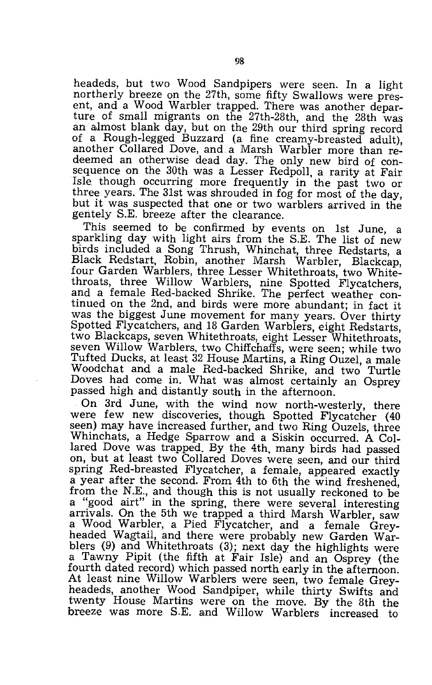headeds, but two Wood Sandpipers were seen. In a light northerly breeze on the 27th, some fifty Swallows were present, and a Wood Warbler trapped. There was another departure of small migrants on the 27th-28th, and the 28th was an almost blank day, but on the 29th our third spring record of a Rough-legged Buzzard (a fine creamy-breasted adult), another Collared Dove, and a Marsh Warbler more than redeemed an otherwise dead day. The only new bird of consequence on the 30th was a Lesser Redpoll, a rarity at Fair Isle though occurring more frequently in the past two or three years. The 31st was shrouded in fog for most of the day, but it was suspected that one or two warblers arrived in the geritely S.E. breeze after the clearance.

This seemed to be confirmed by events on 1st June, a sparkling day with light airs from the S.E. The list of new birds included a Song Thrush, Whinchat, three Redstarts, a Black Redstart, Robin, another Marsh Warbler, Blackcap, four Garden Warblers, three Lesser Whitethroats, two Whitethroats, three Willow Warblers, nine Spotted Flycatchers, and a female Red-backed Shrike. The perfect weather continued on the 2nd, and birds were more abundant; in fact it was the biggest June movement for many years. Over thirty Spotted Flycatchers, and 18 Garden Warblers, eight Redstarts, two Blackcaps, seven Whitethroats, eight Lesser Whitethroats, seven Willow Warblers, two Chiffchaffs, were seen; while two Tufted Ducks, at least 32 House Martins, a Ring Ouzel, a male Woodchat and a male Red-backed Shrike, and two Turtle Doves had come in. What was almost certainly an Osprey passed high and distantly south in the afternoon.

On 3rd June, with the wind now north-westerly, there were few new discoveries, though Spotted Flycatcher (40 seen) may have increased further, and two Ring Ouzels, three Whinchats, a Hedge Sparrow and a Siskin occurred. A Collared Dove was trapped. By the 4th, many birds had passed on, but at least two Collared Doves were\_ seen, and our third spring Red-breasted Flycatcher, a female, appeared exactly a year after the second. From 4th to 6th the wind freshened, from the N.E., and though this is not usually reckoned to be a "good airt" in the spring, there were several interesting arrivals. On the 5th we trapped a third Marsh Warbler, saw a Wood Warbler, a Pied Flycatcher, and a female Greyheaded Wagtail, and there were probably new Garden Warblers (9) and Whitethroats (3); next day the highlights were a Tawny Pipit (the fifth at Fair Isle) and an Osprey (the fourth dated record) which passed north early in the afternoon. At least nine Willow Warblers were seen, two female Greyheadeds, another Wood Sandpiper, while thirty Swifts and twenty House Martins were on the move. By the 8th the breeze was more S.E. and Willow Warblers increased to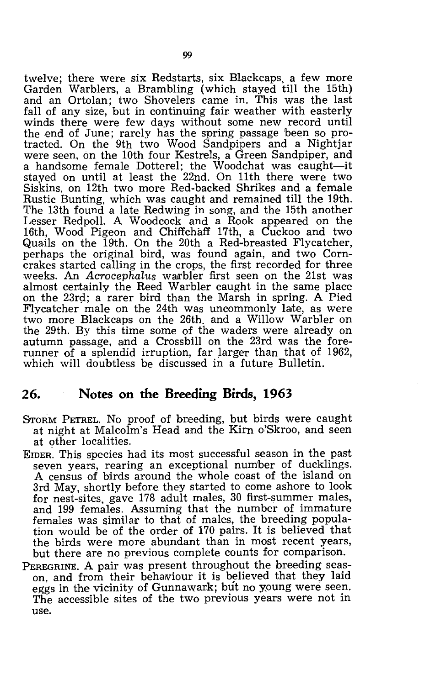twelve; there were six Redstarts, six Blackcaps, a few more Garden Warblers, a Brambling (which stayed till the 15th) and an Ortolan; two Shovelers came in. This was the last fall of any size, but in continuing fair weather with easterly winds there were few days without some new record until the end of June; rarely has the spring passage been so protracted. On the 9th two Wood Sandpipers and a Nightjar were seen, on the 10th four Kestrels, a Green Sandpiper, and a handsome female Dotterel; the Woodchat was caught-it stayed on until at least the 22nd. On 11th there were two  $Siskins,$  on  $12th$  two more  $Red$ -backed  $Shrikes$  and a female Rustic Bunting, which was caught and remained till the 19th. The 13th found a late Redwing in song, and the 15th another Lesser Redpoll. A Woodcock and a Rook appeared on the 16th, Wood Pigeon and Chiffchaff 17th, a Cuckoo and two Quails on the 19th. On the 20th a Red-breasted Flycatcher, perhaps the original bird, was found again, and two Corncrakes started calling in the crops, the first recorded for three weeks. An *Acrocephalus* warbler first seen on the 21st was almost certainly the Reed Warbler caught in the same place on the 23rd; a rarer bird than the Marsh in spring. A Pied Flycatcher male on the 24th was uncommonly late, as were two more Blackcaps on the 26th. and a Willow Warbler on the 29th. By this time some of the waders were already on autumn passage, and a Crossbill on the 23rd was the forerunner of a splendid irruption, far larger than that of 1962, which will doubtless be discussed in a future Bulletin.

#### **26. Notes on the Breeding Birds, 1963**

- STORM PETREL. No proof of breeding, but birds were caught at night at Malcolm's Head and the Kirn o'Skroo, and seen at other localities.
- EIDER. This species had its most successful season in the past seven years, rearing an exceptional number of ducklings. A census of birds around the whole coast of the island on 3rd May, shortly before they started to come ashore to look for nest-sites, gave 178 adult males, 30 first-summer males, and 199 females. Assuming that the number of immature females was similar to that of males, the breeding population would be of the order of 170 pairs. It is believed that the birds were more abundant than in most recent years, but there are no previous complete counts for comparison.
- PEREGRINE. A pair was present throughout the breeding season, and from their behaviour it is believed that they laid eggs in the vicinity of Gunnawark; but no young were seen. The accessible sites of the two previous years were not in use.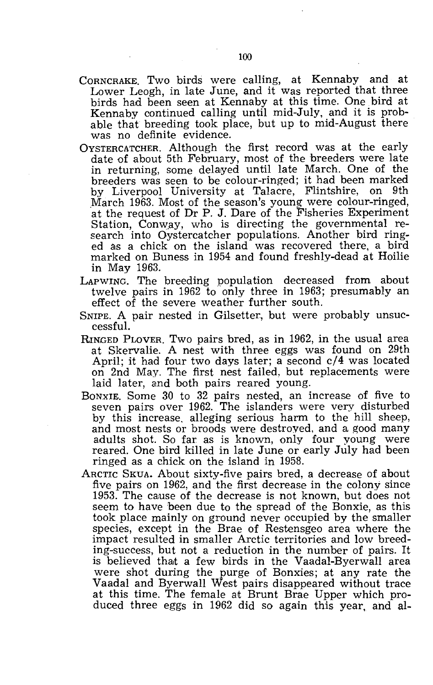- CORNCRAKE. Two birds were calling, at Kennaby and at Lower Leogh, in late June, and it was reported that three birds had been seen at Kennaby at this time. One bird at Kennaby continued calling until mid-July, and it is probable that breeding took place, but up to mid-August there was no definite evidence.
- OYSTERCATCHER. Although the first record was at the early date of about 5th February, most of the breeders were late in returning, some delayed until late March. One of the breeders was seen to be colour-ringed; it had been marked by Liverpool University at Talacre, Flintshire, on 9th .March 1963. Most of the season's young were colour-ringed, at the request of Dr P. J. Dare of the Fisheries Experiment Station, Conway, who is directing the governmental research into Oystercatcher populations. Another bird ringed as a chick on the island was recovered there, a bird marked on Buness in 1954 and found freshly-dead at Hoilie in May 1963.
- LAPWING. The breeding population decreased from about twelve pairs in 1962 to only three in 1963; presumably an effect of the severe weather further south.
- SNIPE. A pair nested in Gilsetter., but were probably unsuccessful.
- RINGED PLOVER. Two pairs bred, as in 1962, in the usual area at Skervalie. A nest with three eggs was found on 29th April; it had four two days later; a second c/4 was located on 2nd May. The first nest failed, but replacements were laid later, and both pairs reared young.
- BONXIE. Some 30 to 32 pairs nested, an increase of five to seven pairs over 1962. The islanders were very disturbed by this increase, alleging serious harm to the hill sheep, and most nests or broods were destroyed, and a good many adults shot. So far as is known, only four young were reared. One bird killed in late June or early July had been ringed as a chick on the island in 1958.
- ARCTIC SKUA. About sixty-five pairs bred, a decrease of about five pairs on 1962, and the first decrease in the colony since 1953. The cause of the decrease is not known, but does not seem to have been due to the spread of the Bonxie, as this took place mainly on ground never occupied by the smaller species, except in the Brae of Restensgeo area where the impact resulted in smaller Arctic territories and low breeding-success, but not a reduction in the number of pairs. It is believed that a few birds in the Vaadal-Byerwall area were shot during the purge of Bonxies; at any rate the Vaadal and Byerwall West pairs disappeared without trace at this time. The female at Brunt Brae Upper which produced three eggs in 1962 did so again this year, and al-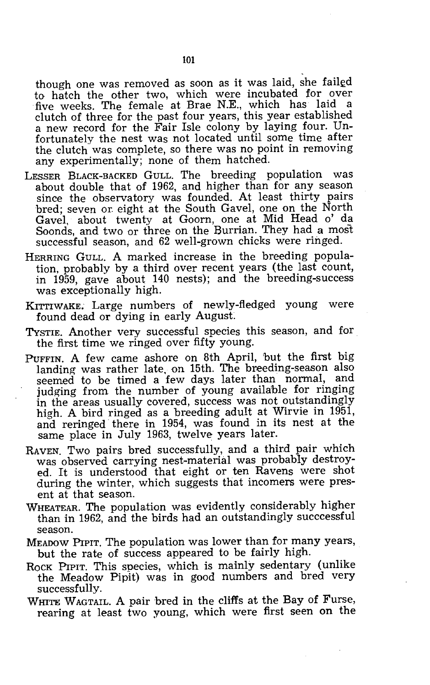though one was removed as soon as it was laid, she failed to hatch the other two, which were incubated for over five weeks. The female at Brae N.E., which has laid a clutch of three for the past four years, this year established a new record for the Fair Isle colony by laying four. Unfortunately the nest was not located until some time after the clutch was complete, so there was no point in removing any experimentally; none of them hatched.

- LESSER BLACK-BACKED GULL. The breeding population was about double that of 1962, and higher than for any season since the observatory was founded. At least thirty pairs bred; seven or. eight at the South Gavel, one on the North Gavel, about twenty at Goorn, one at Mid Head 0' da Soonds, and two or three on the Burrian. They had a most successful season, and 62 well-grown chicks were ringed.
- HERRING GULL. A marked increase in the breeding population, probably by a third over recent years (the last count, in 1959, gave about 140 nests); and the breeding-success was exceptionally high.
- KITTIWAKE. Large numbers of newly-fledged young were found dead or dying in early August.
- TYSTIE. Another very successful species this season, and for the first time we ringed over fifty young.
- PUFFIN. A few came ashore on 8th April, but the first big landing was rather late. on 15th. The breeding-season also seemed to be timed a few days later than normal, and judging from the number of young available for ringing in the areas usually covered, success was not outstandingly high. A bird ringed as a breeding adult at Wirvie in 1951, and reringed there in 1954, was found in its nest at the same place in July 1963, twelve years later.
- RAVEN. Two pairs bred successfully, and a third pair which was observed carrying nest-material was probably destroyed. It is understood that eight or ten Ravens were shot during the winter, which suggests that incomers were present at that season.
- WHEATEAR. The population was evidently considerably higher than in 1962, and the birds had an outstandingly succcessful season.
- MEADOW PIPIT. The population was lower than for many years, but the rate of success appeared to be fairly high.
- ROCK PIPIT. This species, which is mainly sedentary (unlike the Meadow Pipit) was in good numbers and bred very successfully.
- WHITE WAGTAIL. A pair bred in the cliffs at the Bay of Furse, rearing at least two young, which were first seen on the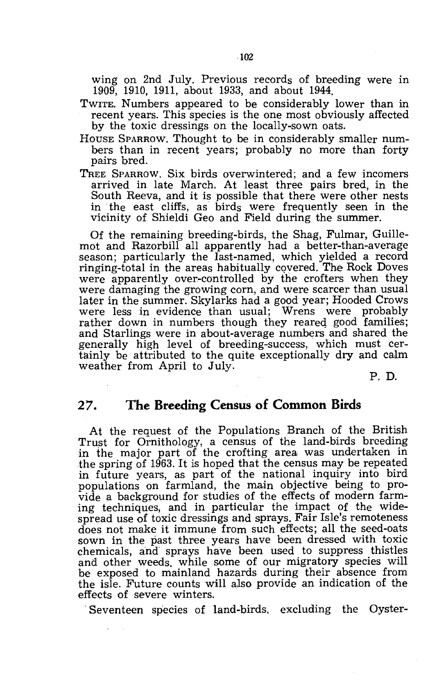wing on 2nd July. Previous records of breeding were in 1909, 1910, 1911, about 1933, and about 1944.

- TWITE. Numbers appeared to be considerably lower than in recent years. This species is the one most obviously affected by the toxic dressings on the locally-sown oats.
- HOUSE SPARROW. Thought to be in considerably smaller numbers than in recent years; probably no more than forty pairs bred.
- TREE SPARROW. Six birds overwintered; and a few incomers arrived in late March. At least three pairs bred, in the South Reeva, and it is possible that there were other nests in the east cliffs, as birds were frequently seen in the vicinity of Shieldi Geo and Field during the summer.

Of the remaining breeding-birds, the Shag, Fulmar, Guillemot and Razorbill all apparently had a better-than-average season; particularly the last-named, which yielded a record ringing-total in the areas habitually covered. The Rock Doves were apparently over-controlled by the crofters when they were damaging the growing corn, and were scarcer than usual later in the summer. Skylarks had a good year; Hooded Crows were less in evidence than usual; Wrens were probably rather down in numbers though they reared good families; and Starlings were in about-average numbers and shared the generally high level of breeding-success, which must certainly be attributed to the quite exceptionally dry and calm weather from April to July.

P. D.

#### **27. The Breeding Census of Common Birds**

At the request of the Populations Branch of the British Trust for Ornithology, a census of the land-birds breeding in the major part of the crofting area was undertaken in the spring of 1963. It is hoped that the census may be repeated in future years, as part of the national inquiry into bird populations on farmland, the main objective being to provide a background for studies of the effects of modern farming techniques, and in particular the impact of the widespread use of toxic dressings and sprays. Fair Isle's remoteness does not make it immune from such effects; all the seed-oats sown in the past three years have been dressed with toxic chemicals, and sprays have been used to suppress thistles and other weeds, while some of our migratory species will be exposed to mainland hazards during their absence from the isle. Future counts will also provide an indication of the effects of severe winters.

Seventeen species of land-birds, excluding the Oyster-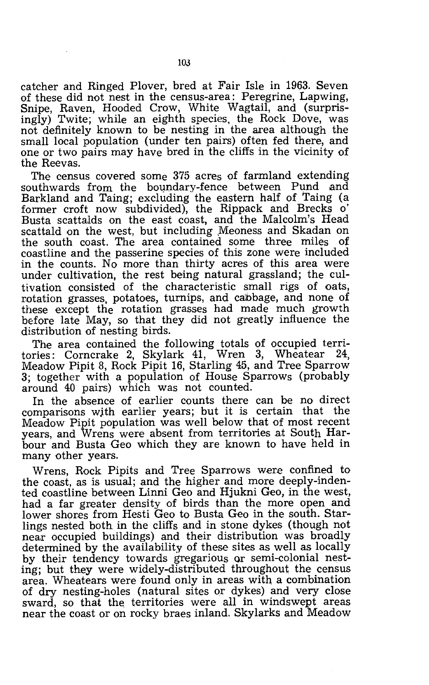catcher and Ringed Plover, bred at Fair Isle in 1963. Seven of these did not nest in the census-area: Peregrine, Lapwing, Snipe, Raven, Hooded Crow, White Wagtail, and (surprisingly) Twite; while an eighth species, the Rock Dove, was not definitely known to be nesting in the area although the small local population (under ten pairs) often fed there, and one or two pairs may have bred in the cliffs in the vicinity of the Reevas.

The census covered some 375 acres of farmland extending southwards from the boundary-fence between Pund and Barkland and Taing; excluding the eastern half of Taing (a former croft now subdivided), the Rippack and Brecks 0' Busta scattalds on the east coast, and the Malcolm's Head scattald on the west, but including Meoness and Skadan on the south coast. The area contained some three miles of coastline and the passerine species of this zone were included in the counts. No more than thirty acres of this area were under cultivation, the rest being natural grassland; the cultivation consisted of the characteristic small rigs of oats, rotation grasses, potatoes, turnips, and cabbage, and none of these except the rotation grasses had made much growth before late May, so that they did not greatly influence the distribution of nesting birds.

The area contained the following totals of occupied territories: Corncrake 2, Skylark 41, Wren 3, Wheatear 24, Meadow Pipit 8, Rock Pipit 16, Starling 45, and Tree Sparrow 3; together with a population of House Sparrows (probably around 40 pairs) which was not counted.

In the absence of earlier counts there can be no direct comparisons wjth earlier years; but it is certain that the Meadow Pipit population was well below that of most recent years, and Wrens were absent from territories at South Harbour and Busta Geo which they are known to have held in many other years.

Wrens, Rock Pipits and Tree Sparrows were confined to the coast, as is usual; and the higher and more deeply-indented coastline between Linni Geo and Hjukni Geo, in the west, had a far greater density of birds than the more open and lower shores from Hesti Geo to Busta Geo in the south. Starlings nested both in the cliffs and in stone dykes (though not near occupied buildings) and their distribution was broadly determined by the availability of these sites as well as locally by their tendency towards gregarious Qr semi-colonial nesting; but they were widely-distributed throughout the census area. Wheatears were found only in areas with a combination of dry nesting-holes (natural sites or dykes) and very close sward, so that the territories were all in windswept areas near the coast or on rocky braes inland. Skylarks and Meadow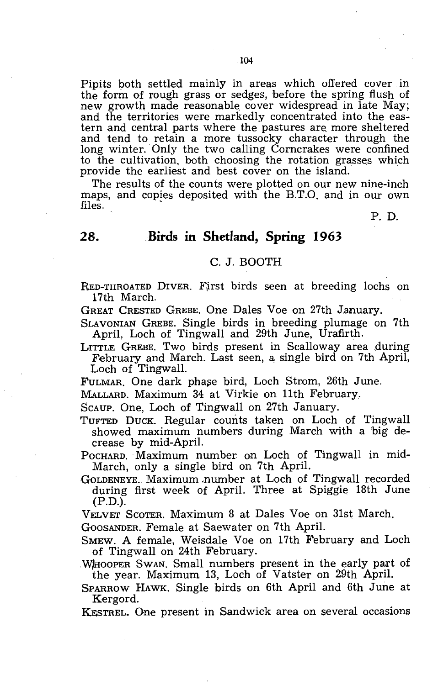Pipits both settled mainly in areas which offered cover in the form of rough grass or sedges, before the spring flush of new growth made reasonable. cover widespread in late May; and the territories were markedly concentrated into the eastern and central parts where the pastures are more sheltered and tend to retain a more tussocky character through the long winter. Only the two calling Corncrakes were confined to the cultivation, both choosing the rotation grasses which provide the earliest and best cover on the island.

The results of the counts were plotted on our new nine-inch maps, and copies deposited with the B.T.O. and in our own files. '

P. D.

#### **28. Birds In Shetland, Spring 1963**

#### C. J. BOOTH

RED-THROATED DIVER. First birds seen at breeding lochs on 17th March.

GREAT CRESTED GREBE. One Dales Voe on 27th January.

SLAVONIAN GREBE. Single birds in breeding plumage on 7th April, Loch of Tingwall and 29th June, Urafirth.

LITTLE GREBE. Two birds present in Scalloway area during February and March. Last seen, a single bird on 7th April, Loch of Tingwall.

FULMAR. One dark phase bird, Loch Strom, 26th June.

MALLARD. Maximum 34 at Virkie on 11th February.

SCAUP. One, Loch of Tingwall on 27th January.

TUFTED DUCK. Regular counts taken on Loch of Tingwall showed maximum numbers during March with a 'big decrease by mid-April.

POCHARD. Maximum number on Loch of Tingwall in mid-March, only a single bird on 7th April.

GOLDENEYE. Maximum ,number at Loch of Tingwall recorded during first week of April. Three at Spiggie 18th June (P.D.).

VELVET SCOTER. Maximum 8 at Dales Voe on 31st March.

GOOSANDER. Female at Saewater on 7th April.

SMEW. A female, Weisdale Voe on 17th February and Loch of Tingwall on 24th February.

Whooper Swan. Small numbers present in the early part of the year. Maximum 13, Loch of Vatster on 29th April.

SPARROW HAWK. Single birds on 6th April and 6th June at Kergord.

KESTREL. One present in Sandwick area on several occasions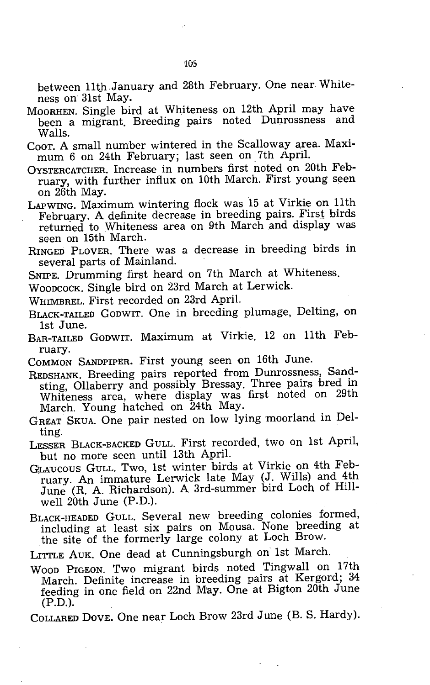between 11th January and 28th February. One near Whiteness on 31st May.

- MOORHEN. Single bird at Whiteness on 12th April may have been a migrant. Breeding pairs noted Dunrossness and Walls.
- COOT. A small number wintered in the Scalloway area. Maximum 6 on 24th February; last seen on 7th April.
- OYSTERCATCHER. Increase in numbers first noted on 20th February, with further influx on 10th March. First young seen on 26th May.
- LAPWING. Maximum wintering flock was 15 at Virkie on 11th February. A definite decrease in breeding pairs. First birds returned to Whiteness area on 9th March and display was seen on 15th March.
- RINGED PLOVER. There was a decrease in breeding birds in several parts of Mainland.
- SNIPE. Drumming first heard on 7th March at Whiteness.
- WOODCOCK. Single bird on 23rd March at Lerwick.
- WHIMBREL. First recorded on 23rd April.
- BLACK-TAILED GODWIT. One in breeding plumage, Delting, on 1st June.
- BAR-TAILED GODWIT. Maximum at Virkie. 12 on 11th February.
- COMMON SANDPIPER. First young seen on 16th June.
- REDSHANK. Breeding pairs reported from Dunrossness, Sandsting, Ollaberry and possibly Bressay. Three pairs bred in Whiteness area, where display was. first noted on 29th March. Young hatched on 24th May.
- GREAT SKUA. One pair nested on low lying moorland in Delting.
- LESSER BLACK-BACKED GULL. First recorded, two on 1st April, but no more seen until 13th April.
- GiLAucous GULL. Two, 1st winter birds at Virkie on 4th February. An immature Lerwick late May (J. Wills) and 4th June (R. A. Richardson). A 3rd-summer bird Loch of Hillwell 20th June (P.D.).
- BLACK-HEADED GULL. Several new breeding colonies formed, including at least six pairs on Mousa. None breeding at the site of the formerly large colony at Loch Brow.
- LITTLE AUK. One dead at Cunningsburgh on 1st March.
- WOOD PIGEON. Two migrant birds noted Tingwall on 17th March. Definite increase in breeding pairs at Kergord; 34 feeding in one field on 22nd May. One at Bigton 20th June  $(P.D.)$ .

COLLARED DOVE. One near Loch Brow 23rd June (B. S. Hardy).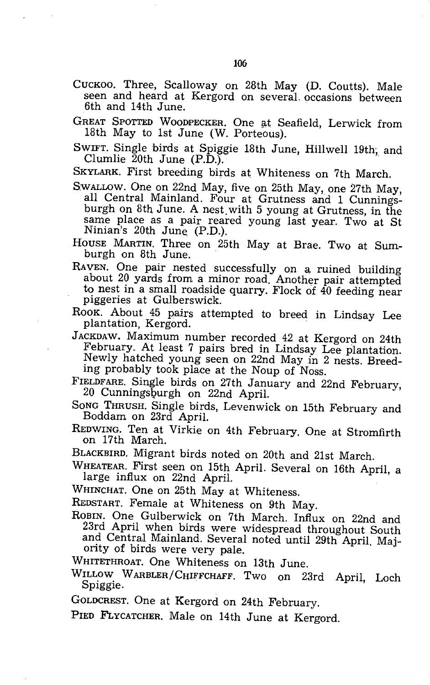- CUCKOO. Three, Scalloway on 28th May (D. Coutts). Male seen and heard at Kergord on several. occasions between 6th and 14th June.
- GREAT SPOTTED WOODPECKER. One at Seafield, Lerwick from 18th May to 1st June (W. Porteous).
- SWIFT. Single birds at Spiggie 18th June, Hillwell 19th; and Clumlie  $\bar{2}0$ th June (P.D.).

SKYLARK. First breeding birds at Whiteness on 7th March.

SWALLOW. One on 22nd May, five on 25th May, one 27th May, all Central Mainland. Four at Grutness and 1 Cunningsburgh on 8th June. A nest. with 5 young at Grutness, in the same place as a pair reared young last year. Two at St Ninian's 20th June. (P.D.).

HOUSE MARTIN. Three on 25th May at Brae. Two at Sumburgh on 8th June. .

RAVEN. One pair nested successfully on a, ruined building about 20 yards from a minor road. Another pair attempted to nest in a small roadside quarry. Flock of 40 feeding near piggeries at Gulberswick.

ROOK. About 45 pairs attempted to breed in Lindsay Lee plantation, Kergord. .

JACKDAW. Maximum number recorded 42 at Kergord on 24th February. At least 7 pairs bred in Lindsay Lee plantation. Newly hatched young seen on 22nd May in 2 nests. Breeding probably took place at the Noup of Noss.

FIELDFARE. Single birds on 27th January and 22nd February, 20 Cunningsburgh on 22nd April.

- SONG THRUSH. Single birds, Levenwick on 15th February and Boddam on 23rd April.
- REDWING. Ten at Virkie on 4th February. One at Stromfirth on 17th March.
- BLACKBIRD. Migrant birds noted on 20th and 21st March.

WHEATEAR. First seen on 15th April. Several on 16th April, a large influx on 22nd April.

WHINCHAT. One on 25th May at Whiteness.

REDSTART. Female at Whiteness on 9th May.

ROBIN. One Gulberwick on 7th March. Influx on 22nd and 23rd April when birds were widespread throughout South and CentraJ Mainland. Several noted until 29th April. Majority of birds were very pale.

WHITETHROAT. One Whiteness on 13th June.

WILLOW WARBLER/CHIFFCHAFF. Two on 23rd April, Loch Spiggie. .

GOLDCREST. One at Kergord on 24th February.

PIED FLYCATCHER. Male on 14th June at Kergord.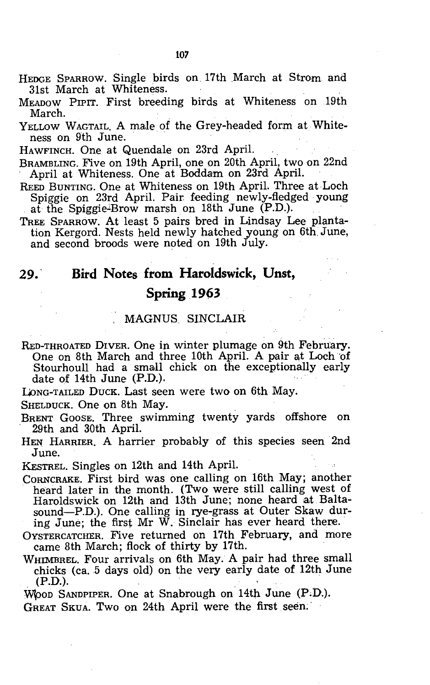- HEDGE SPARROW. Single birds on 17th March at Strom and 31st March at Whiteness.
- MEADOW PIPIT. First breeding birds at Whiteness on .19th March.
- YELLOW WAGTAIL. A male of the Grey-headed form at Whiteness on 9th June.

HAWFINCH. One at Quendale on 23rd April.

- BRAMBLING. Five on 19th April, one on 20th April, two on 22nd April at Whiteness. One at Boddam on 23rd April.
- REED BUNTING. One at Whiteness on 19th April. Three at Loch Spiggie on 23rd April. Pair feeding newly-fledged young at the Spiggie-Brow marsh on 18th June (P.D.).
- TREE SPARROW. At least 5 pairs bred in Lindsay Lee plantation Kergord. Nests held newly hatched young on 6th. June, and second broods were noted on 19th July.

### 29.' **Bird Notes from HaroIdswick, Unst,**

#### **Spring .1963**

#### MAGNUS SINCLAIR

RED-THROATED DIVER. One in winter plumage on 9th February. One On 8th March and three 10th April. A pair at Loch 'of Stourhoull had a small chick on the exceptionally early date of 14th June (P.D.).

LONG-TAILED DUCK. Last seen were two on 6th May.

SHELDUCK. One on 8th May.

BRENT GOOSE. Three swimming twenty yards offshore on 29th and 30th April.

HEN HARRIER. A harrier probably of this species seen 2nd June.

KESTREL. Singles on 12th and 14th April.

- CORNCRAKE. First bird was one calling on 16th May; another heard later in the month. (Two were still calling west of Haroldswick on 12th and 13th June; none heard at Baltasound-P.D.). One calling in rye-grass at Outer Skaw during June; the first Mr W. Sinclair has ever heard there.
- OYSTERCATCHER. Five returned on 17th February, and more came 8th March; flock of thirty by 17th.
- WHIMBREL. Four arrivals on 6th May. A pair had three small chicks (ca. 5 days old) on the very early date of 12th June (P.D.).

WOOD SANDPIPER. One at Snabrough on 14th June (P.D.).

GREAT SKUA. Two on 24th April were the first seen.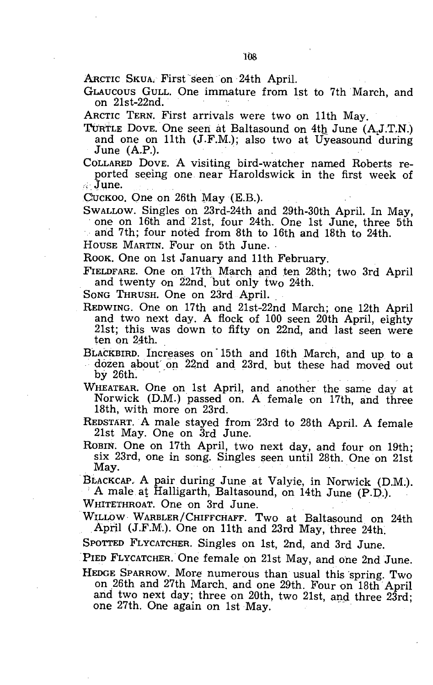ARCTIC SKUA, First seen on 24th April.

GLAUCOUS GULL. One immature from 1st to 7th March, and on 21st-22nd. .

ARCTIC TERN. First arrivals were two on 11th May.

TURTLE DOVE. One seen at Baltasound on 4th June (A,J.T.N.) and one on 11th (J.F.M.); also two at Uyeasound during June  $(A.P.).$ 

COLLARED DOVE. A visiting bird-watcher named Roberts reported seeing one near Haroldswick in the first week of

CuCKOO. One on 26th May (E.B.).

SWALLOW. Singles on 23rd-24th and 29th-30th April. In May, one on 16th and 21st, four 24th. One 1st June, three 5th

arid 7th; four noted from 8th to 16th and 18th to 24th.

HOUSE MARTIN. Four on 5th June.

ROOK. One on 1st January and 11th February.

FIELDFARE. One on 17th March and ten 28th; two 3rd April and twenty on 22nd, but only two 24th.

SONG THRUSH. One on 23rd April.

REDWING. One on 17th and 21st-22nd March; one 12th April and two next day. A flock of 100 seen 20th April, eighty 21st; this was down to fifty on 22nd, and last seen were ten on 24th.

BLACKBIRD. Increases on' 15th and 16th March, and up to a dozen about on 22nd and 23rd, but these had moved out by  $26<sub>th</sub>$ .

WHEATEAR. One on 1st April, and another the same day at Norwick (D.M.) passed on. A female on 17th, and three 18th, with more on 23rd.

REDSTART. A male stayed from 23rd to 28th April. A female 21st May. One on 3rd June.

ROBIN. One on 17th April, two next day, and four on 19th; six 23rd, one in song. Singles seen until 28th. One on 21st May.

BLACKCAP. A pair during June at Valyie, in Norwick (D.M;). ; A male at Halligarth, Baltasound, on 14th June (P.D.).

WHITETHROAT. One on 3rd June.

WILLOW WARBLER/CHIFFCHAFF. Two at Baltasound on 24th April (J.F.M.). One on 11th and 23rd May, three 24th.

SPOTTED FLYCATCHER. Singles on 1st, 2nd, and 3rd June.

PIED FLYCATCHER. One female on 21st May, and one 2nd June.

HEDGE SPARROW. More numerous than usual this spring. Two on ,26th and 27th March. and one 29th. Four on 18th' April and two next day; three on 20th, two 21st, and three 23rd; one 27th. One again on 1st May.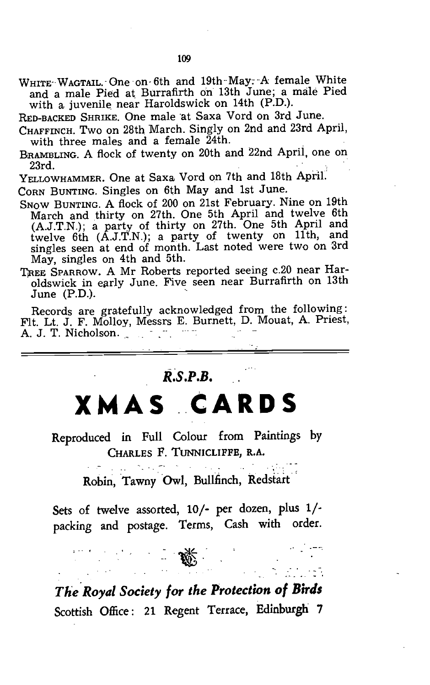WHITE-WAGTAIL. One on 6th and 19th May: A female White and a male Pied at Burrafirth on 13th June; a male Pied with a juvenile near Haroldswick on 14th (P.D.).

RED-BACKED SHRIKE. One male at Saxa Vord on 3rd June.

CHAFFINCH. Two on 28th March. Singly on 2nd and 23rd April, with three males and a female 24th.

BRAMBLING. A flock of twenty on 20th and 22nd Aprii, one on 23rd. , .

 $Y_{\text{ELLOWHAMMER}}$ . One at Saxa Vord on 7th and 18th April.

CORN BUNTING. Singles on 6th May and 1st June.

SNOW BUNTING. A flock of 200 on 21st February. Nine On 19th March and thirty on 27th. One 5th April and twelve 6th (A.J.T.N.); a party of thirty on 27th. One 5th April and twelve 6th (A.J.T.N.); a party of twenty on 11th, and singles seen at end of month. Last noted were two on 3rd May, singles on 4th and 5th.

TREE SPARROW. A Mr Roberts reported seeing c.20 near Haroldswick in early June. Five seen near Burrafirth on 13th  $June (P.D.).$ 

Records are gratefully acknowledged from the following: Fit. Lt. J. F. Molloy, Messrs E. Burnett, D. Mouat, A. Priest, A. J. T. Nicholson.

### *R.S.P.B.*

**XMAS CARDS** 

Reproduced in Full Colour from Paintings by CHARLES F. TUNNICLIFFE, R.A.

Robin, Tawny Owl, Bullfinch, Redstart

Sets of twelve assorted, 10/- per dozen, plus 1/ packing and postage. Terms, Cash with order.

*Th'e'Royal Society for the Protection of Birds*  Scottish Office: 21 Regent Terrace, Edinburgh 7

. . .... -'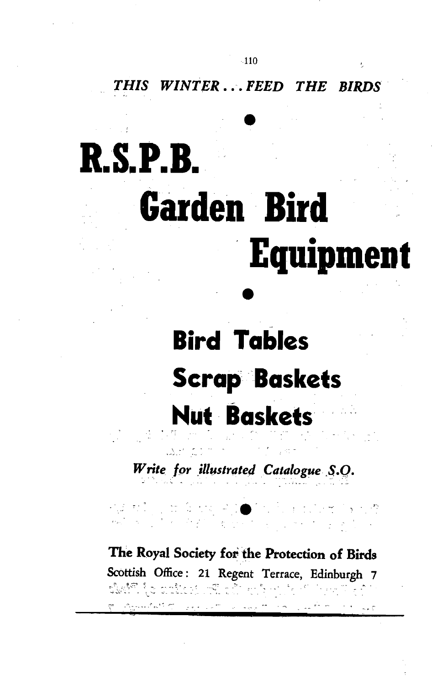*THIS WINTER ... FEED THE BIRDS* 

# • **R.8.P.B. Garden Bird**  . **EquipmeDt**

# $\bullet$ **Bird Tables**  Scrap 'Baskets **Nllt 8askets**

*Write for illustrated Catalogue S.Q.* . فأنكرك بالمنتجة

,--- . -.-.

**The Royal Society for the Protection of Birds**  Scottish Office: 21 Regent Terrace, Edinburgh 7 ़ें सुरुष के साथ करते हैं कि साथ करते हैं कि सुरक्ष करते के सुरक्ष करते हैं कि सुरक्ष करते हैं हैं कि सुरक्ष क<br>संसद्भ के सुरक्ष कर करते हैं कि सुरक्ष करते हैं कि सुरक्ष करते हैं कि सुरक्ष करते हैं कि सुरक्ष करते हैं कि स "\_ .. ,-.. ""-  $\sim$ . **"J**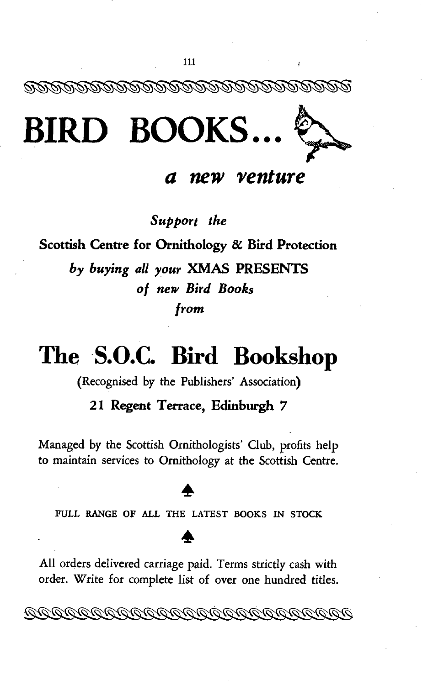

*a new venture* 

*Support the* 

**Scottish Centre for Ornithology & Bird Protection**  *by buying all your* **XMAS PRESENTS**  *of new Bird Books from* 

# **The S.O.C. Bird Bookshop**

(Recognised by the Publishers' Association)

#### **21 Regent Terrace, Edinburgh 7**

Managed by the Scottish Ornithologists' Club, profits help to maintain services to Ornithology at the Scottish Centre.

FULL RANGE OF ALL THE LATEST BOOKS IN STOCK

## All orders delivered carriage paid. Terms strictly cash with order. Write for complete list of over one hundred titles.

<u> TOTOTOTOTOTOTOTOTOTOTOTOTOT</u>